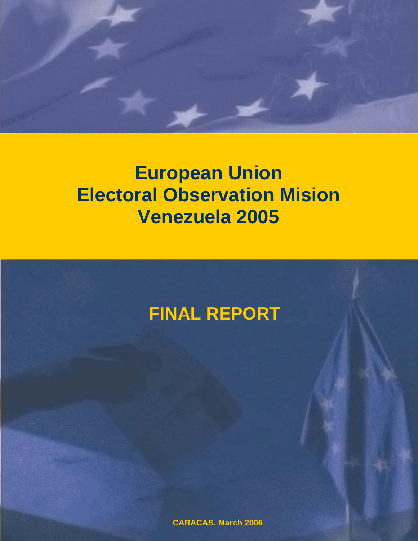

# **European Union Electoral Observation Mision Venezuela 2005**



**CARACAS, March 2006**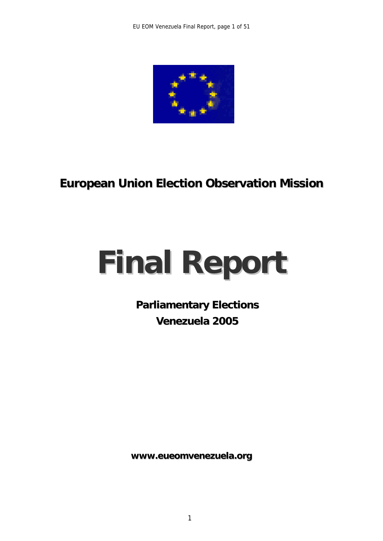

# **European Union Election Observation Mission**

# **Final Report**

**Parliamentary Elections Venezuela 2005**

**www.eueomvenezuela.org**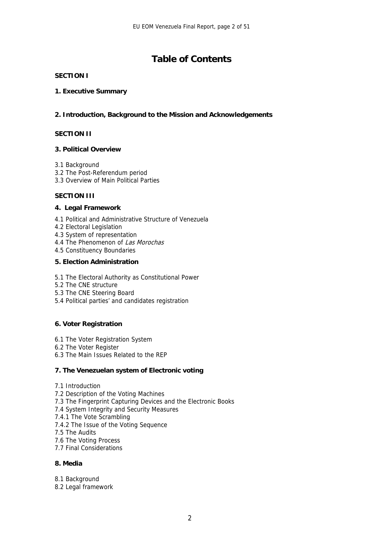# **Table of Contents**

#### **SECTION I**

#### **1. Executive Summary**

#### **2. Introduction, Background to the Mission and Acknowledgements**

#### **SECTION II**

#### **3. Political Overview**

- 3.1 Background
- 3.2 The Post-Referendum period
- 3.3 Overview of Main Political Parties

#### **SECTION III**

#### **4. Legal Framework**

- 4.1 Political and Administrative Structure of Venezuela
- 4.2 Electoral Legislation
- 4.3 System of representation
- 4.4 The Phenomenon of Las Morochas
- 4.5 Constituency Boundaries

#### **5. Election Administration**

- 5.1 The Electoral Authority as Constitutional Power
- 5.2 The CNE structure
- 5.3 The CNE Steering Board
- 5.4 Political parties' and candidates registration

#### **6. Voter Registration**

- 6.1 The Voter Registration System
- 6.2 The Voter Register
- 6.3 The Main Issues Related to the REP

#### **7. The Venezuelan system of Electronic voting**

- 7.1 Introduction
- 7.2 Description of the Voting Machines
- 7.3 The Fingerprint Capturing Devices and the Electronic Books
- 7.4 System Integrity and Security Measures
- 7.4.1 The Vote Scrambling
- 7.4.2 The Issue of the Voting Sequence
- 7.5 The Audits
- 7.6 The Voting Process
- 7.7 Final Considerations

#### **8. Media**

- 8.1 Background
- 8.2 Legal framework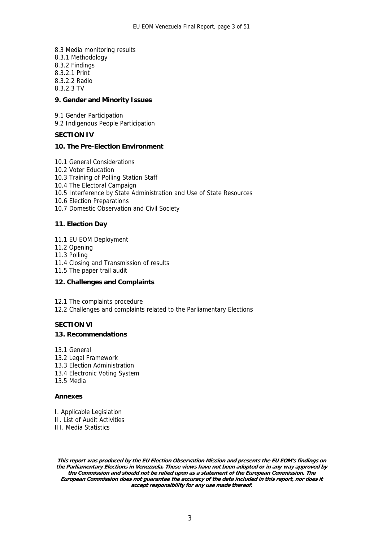8.3 Media monitoring results 8.3.1 Methodology 8.3.2 Findings 8.3.2.1 Print 8.3.2.2 Radio 8.3.2.3 TV

#### **9. Gender and Minority Issues**

9.1 Gender Participation

9.2 Indigenous People Participation

#### **SECTION IV**

#### **10. The Pre-Election Environment**

- 10.1 General Considerations
- 10.2 Voter Education
- 10.3 Training of Polling Station Staff
- 10.4 The Electoral Campaign
- 10.5 Interference by State Administration and Use of State Resources
- 10.6 Election Preparations 10.7 Domestic Observation and Civil Society

#### **11. Election Day**

- 11.1 EU EOM Deployment
- 11.2 Opening
- 11.3 Polling
- 11.4 Closing and Transmission of results
- 11.5 The paper trail audit

#### **12. Challenges and Complaints**

12.1 The complaints procedure

12.2 Challenges and complaints related to the Parliamentary Elections

#### **SECTION VI**

#### **13. Recommendations**

- 13.1 General
- 13.2 Legal Framework
- 13.3 Election Administration
- 13.4 Electronic Voting System
- 13.5 Media

#### **Annexes**

I. Applicable Legislation II. List of Audit Activities III. Media Statistics

**This report was produced by the EU Election Observation Mission and presents the EU EOM's findings on the Parliamentary Elections in Venezuela. These views have not been adopted or in any way approved by the Commission and should not be relied upon as a statement of the European Commission. The European Commission does not guarantee the accuracy of the data included in this report, nor does it accept responsibility for any use made thereof.**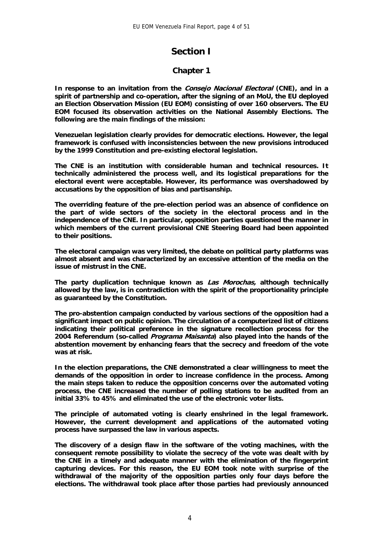# **Section I**

#### **Chapter 1**

**In response to an invitation from the Consejo Nacional Electoral (CNE), and in a spirit of partnership and co-operation, after the signing of an MoU, the EU deployed an Election Observation Mission (EU EOM) consisting of over 160 observers. The EU EOM focused its observation activities on the National Assembly Elections. The following are the main findings of the mission:** 

**Venezuelan legislation clearly provides for democratic elections. However, the legal framework is confused with inconsistencies between the new provisions introduced by the 1999 Constitution and pre-existing electoral legislation.** 

**The CNE is an institution with considerable human and technical resources. It technically administered the process well, and its logistical preparations for the electoral event were acceptable. However, its performance was overshadowed by accusations by the opposition of bias and partisanship.** 

**The overriding feature of the pre-election period was an absence of confidence on the part of wide sectors of the society in the electoral process and in the independence of the CNE. In particular, opposition parties questioned the manner in which members of the current provisional CNE Steering Board had been appointed to their positions.** 

**The electoral campaign was very limited, the debate on political party platforms was almost absent and was characterized by an excessive attention of the media on the issue of mistrust in the CNE.** 

**The party duplication technique known as Las Morochas, although technically allowed by the law, is in contradiction with the spirit of the proportionality principle as guaranteed by the Constitution.** 

**The pro-abstention campaign conducted by various sections of the opposition had a significant impact on public opinion. The circulation of a computerized list of citizens indicating their political preference in the signature recollection process for the 2004 Referendum (so-called Programa Maisanta) also played into the hands of the abstention movement by enhancing fears that the secrecy and freedom of the vote was at risk.** 

**In the election preparations, the CNE demonstrated a clear willingness to meet the demands of the opposition in order to increase confidence in the process. Among the main steps taken to reduce the opposition concerns over the automated voting process, the CNE increased the number of polling stations to be audited from an initial 33% to 45% and eliminated the use of the electronic voter lists.** 

**The principle of automated voting is clearly enshrined in the legal framework. However, the current development and applications of the automated voting process have surpassed the law in various aspects.** 

**The discovery of a design flaw in the software of the voting machines, with the consequent remote possibility to violate the secrecy of the vote was dealt with by the CNE in a timely and adequate manner with the elimination of the fingerprint capturing devices. For this reason, the EU EOM took note with surprise of the withdrawal of the majority of the opposition parties only four days before the elections. The withdrawal took place after those parties had previously announced**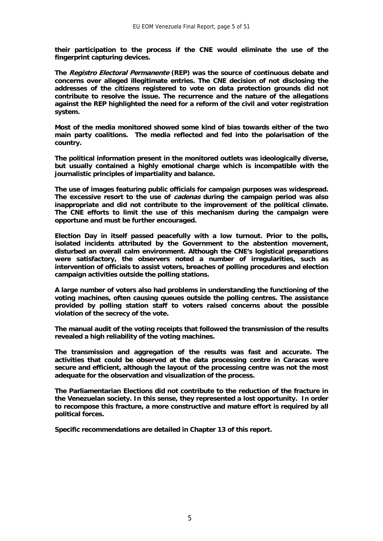**their participation to the process if the CNE would eliminate the use of the fingerprint capturing devices.** 

**The Registro Electoral Permanente (REP) was the source of continuous debate and concerns over alleged illegitimate entries. The CNE decision of not disclosing the addresses of the citizens registered to vote on data protection grounds did not contribute to resolve the issue. The recurrence and the nature of the allegations against the REP highlighted the need for a reform of the civil and voter registration system.** 

**Most of the media monitored showed some kind of bias towards either of the two main party coalitions. The media reflected and fed into the polarisation of the country.** 

**The political information present in the monitored outlets was ideologically diverse, but usually contained a highly emotional charge which is incompatible with the journalistic principles of impartiality and balance.** 

**The use of images featuring public officials for campaign purposes was widespread. The excessive resort to the use of cadenas during the campaign period was also inappropriate and did not contribute to the improvement of the political climate. The CNE efforts to limit the use of this mechanism during the campaign were opportune and must be further encouraged.** 

**Election Day in itself passed peacefully with a low turnout. Prior to the polls, isolated incidents attributed by the Government to the abstention movement, disturbed an overall calm environment. Although the CNE's logistical preparations were satisfactory, the observers noted a number of irregularities, such as intervention of officials to assist voters, breaches of polling procedures and election campaign activities outside the polling stations.** 

**A large number of voters also had problems in understanding the functioning of the voting machines, often causing queues outside the polling centres. The assistance provided by polling station staff to voters raised concerns about the possible violation of the secrecy of the vote.** 

**The manual audit of the voting receipts that followed the transmission of the results revealed a high reliability of the voting machines.** 

**The transmission and aggregation of the results was fast and accurate. The activities that could be observed at the data processing centre in Caracas were secure and efficient, although the layout of the processing centre was not the most adequate for the observation and visualization of the process.** 

**The Parliamentarian Elections did not contribute to the reduction of the fracture in the Venezuelan society. In this sense, they represented a lost opportunity. In order to recompose this fracture, a more constructive and mature effort is required by all political forces.** 

**Specific recommendations are detailed in Chapter 13 of this report.**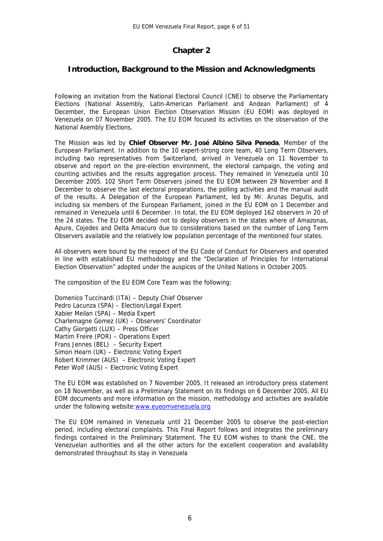#### **Chapter 2**

#### **Introduction, Background to the Mission and Acknowledgments**

Following an invitation from the National Electoral Council (CNE) to observe the Parliamentary Elections (National Assembly, Latin-American Parliament and Andean Parliament) of 4 December, the European Union Election Observation Mission (EU EOM) was deployed in Venezuela on 07 November 2005. The EU EOM focused its activities on the observation of the National Asembly Elections.

The Mission was led by **Chief Observer Mr. José Albino Silva Peneda**, Member of the European Parliament. In addition to the 10 expert-strong core team, 40 Long Term Observers, including two representatives from Switzerland, arrived in Venezuela on 11 November to observe and report on the pre-election environment, the electoral campaign, the voting and counting activities and the results aggregation process. They remained in Venezuela until 10 December 2005. 102 Short Term Observers joined the EU EOM between 29 November and 8 December to observe the last electoral preparations, the polling activities and the manual audit of the results. A Delegation of the European Parliament, led by Mr. Arunas Degutis, and including six members of the European Parliament, joined in the EU EOM on 1 December and remained in Venezuela until 6 December. In total, the EU EOM deployed 162 observers in 20 of the 24 states. The EU EOM decided not to deploy observers in the states where of Amazonas, Apure, Cojedes and Delta Amacuro due to considerations based on the number of Long Term Observers available and the relatively low population percentage of the mentioned four states.

All observers were bound by the respect of the EU Code of Conduct for Observers and operated in line with established EU methodology and the "Declaration of Principles for International Election Observation" adopted under the auspices of the United Nations in October 2005.

The composition of the EU EOM Core Team was the following:

Domenico Tuccinardi (ITA) – Deputy Chief Observer Pedro Lacunza (SPA) – Election/Legal Expert Xabier Meilan (SPA) – Media Expert Charlemagne Gomez (UK) – Observers' Coordinator Cathy Giorgetti (LUX) – Press Officer Martim Freire (POR) – Operations Expert Frans Jennes (BEL) – Security Expert Simon Hearn (UK) – Electronic Voting Expert Robert Krimmer (AUS) – Electronic Voting Expert Peter Wolf (AUS) – Electronic Voting Expert

The EU EOM was established on 7 November 2005. It released an introductory press statement on 18 November, as well as a Preliminary Statement on its findings on 6 December 2005. All EU EOM documents and more information on the mission, methodology and activities are available under the following website:[www.eueomvenezuela.org](http://www.eueomvenezuela.org/)

The EU EOM remained in Venezuela until 21 December 2005 to observe the post-election period, including electoral complaints. This Final Report follows and integrates the preliminary findings contained in the Preliminary Statement. The EU EOM wishes to thank the CNE, the Venezuelan authorities and all the other actors for the excellent cooperation and availability demonstrated throughout its stay in Venezuela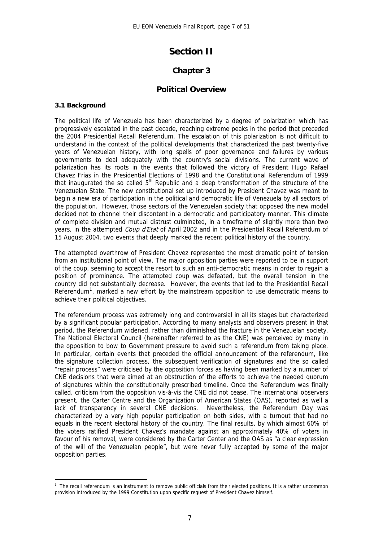# **Section II**

## **Chapter 3**

#### **Political Overview**

#### **3.1 Background**

<u>.</u>

The political life of Venezuela has been characterized by a degree of polarization which has progressively escalated in the past decade, reaching extreme peaks in the period that preceded the 2004 Presidential Recall Referendum. The escalation of this polarization is not difficult to understand in the context of the political developments that characterized the past twenty-five years of Venezuelan history, with long spells of poor governance and failures by various governments to deal adequately with the country's social divisions. The current wave of polarization has its roots in the events that followed the victory of President Hugo Rafael Chavez Frias in the Presidential Elections of 1998 and the Constitutional Referendum of 1999 that inaugurated the so called  $5<sup>th</sup>$  Republic and a deep transformation of the structure of the Venezuelan State. The new constitutional set up introduced by President Chavez was meant to begin a new era of participation in the political and democratic life of Venezuela by all sectors of the population. However, those sectors of the Venezuelan society that opposed the new model decided not to channel their discontent in a democratic and participatory manner. This climate of complete division and mutual distrust culminated, in a timeframe of slightly more than two years, in the attempted *Coup d'Etat* of April 2002 and in the Presidential Recall Referendum of 15 August 2004, two events that deeply marked the recent political history of the country.

The attempted overthrow of President Chavez represented the most dramatic point of tension from an institutional point of view. The major opposition parties were reported to be in support of the coup, seeming to accept the resort to such an anti-democratic means in order to regain a position of prominence. The attempted coup was defeated, but the overall tension in the country did not substantially decrease. However, the events that led to the Presidential Recall Referendum<sup>[1](#page-7-0)</sup>, marked a new effort by the mainstream opposition to use democratic means to achieve their political objectives.

The referendum process was extremely long and controversial in all its stages but characterized by a significant popular participation. According to many analysts and observers present in that period, the Referendum widened, rather than diminished the fracture in the Venezuelan society. The National Electoral Council (hereinafter referred to as the CNE) was perceived by many in the opposition to bow to Government pressure to avoid such a referendum from taking place. In particular, certain events that preceded the official announcement of the referendum, like the signature collection process, the subsequent verification of signatures and the so called "repair process" were criticised by the opposition forces as having been marked by a number of CNE decisions that were aimed at an obstruction of the efforts to achieve the needed quorum of signatures within the constitutionally prescribed timeline. Once the Referendum was finally called, criticism from the opposition vis-à-vis the CNE did not cease. The international observers present, the Carter Centre and the Organization of American States (OAS), reported as well a lack of transparency in several CNE decisions. Nevertheless, the Referendum Day was characterized by a very high popular participation on both sides, with a turnout that had no equals in the recent electoral history of the country. The final results, by which almost 60% of the voters ratified President Chavez's mandate against an approximately 40% of voters in favour of his removal, were considered by the Carter Center and the OAS as "a clear expression of the will of the Venezuelan people", but were never fully accepted by some of the major opposition parties.

<span id="page-7-0"></span><sup>&</sup>lt;sup>1</sup> The recall referendum is an instrument to remove public officials from their elected positions. It is a rather uncommon provision introduced by the 1999 Constitution upon specific request of President Chavez himself.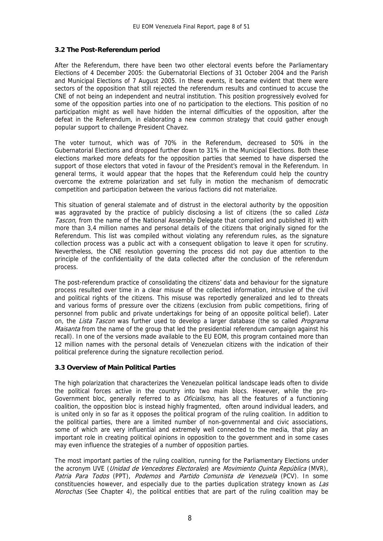#### **3.2 The Post-Referendum period**

After the Referendum, there have been two other electoral events before the Parliamentary Elections of 4 December 2005: the Gubernatorial Elections of 31 October 2004 and the Parish and Municipal Elections of 7 August 2005. In these events, it became evident that there were sectors of the opposition that still rejected the referendum results and continued to accuse the CNE of not being an independent and neutral institution. This position progressively evolved for some of the opposition parties into one of no participation to the elections. This position of no participation might as well have hidden the internal difficulties of the opposition, after the defeat in the Referendum, in elaborating a new common strategy that could gather enough popular support to challenge President Chavez.

The voter turnout, which was of 70% in the Referendum, decreased to 50% in the Gubernatorial Elections and dropped further down to 31% in the Municipal Elections. Both these elections marked more defeats for the opposition parties that seemed to have dispersed the support of those electors that voted in favour of the President's removal in the Referendum. In general terms, it would appear that the hopes that the Referendum could help the country overcome the extreme polarization and set fully in motion the mechanism of democratic competition and participation between the various factions did not materialize.

This situation of general stalemate and of distrust in the electoral authority by the opposition was aggravated by the practice of publicly disclosing a list of citizens (the so called Lista Tascon, from the name of the National Assembly Delegate that compiled and published it) with more than 3,4 million names and personal details of the citizens that originally signed for the Referendum. This list was compiled without violating any referendum rules, as the signature collection process was a public act with a consequent obligation to leave it open for scrutiny. Nevertheless, the CNE resolution governing the process did not pay due attention to the principle of the confidentiality of the data collected after the conclusion of the referendum process.

The post-referendum practice of consolidating the citizens' data and behaviour for the signature process resulted over time in a clear misuse of the collected information, intrusive of the civil and political rights of the citizens. This misuse was reportedly generalized and led to threats and various forms of pressure over the citizens (exclusion from public competitions, firing of personnel from public and private undertakings for being of an opposite political belief). Later on, the *Lista Tascon* was further used to develop a larger database (the so called *Programa* Maisanta from the name of the group that led the presidential referendum campaign against his recall). In one of the versions made available to the EU EOM, this program contained more than 12 million names with the personal details of Venezuelan citizens with the indication of their political preference during the signature recollection period.

#### **3.3 Overview of Main Political Parties**

The high polarization that characterizes the Venezuelan political landscape leads often to divide the political forces active in the country into two main blocs. However, while the pro-Government bloc, generally referred to as *Oficialismo*, has all the features of a functioning coalition, the opposition bloc is instead highly fragmented, often around individual leaders, and is united only in so far as it opposes the political program of the ruling coalition. In addition to the political parties, there are a limited number of non-governmental and civic associations, some of which are very influential and extremely well connected to the media, that play an important role in creating political opinions in opposition to the government and in some cases may even influence the strategies of a number of opposition parties.

The most important parties of the ruling coalition, running for the Parliamentary Elections under the acronym UVE (Unidad de Vencedores Electorales) are Movimiento Quinta República (MVR), Patria Para Todos (PPT), Podemos and Partido Comunista de Venezuela (PCV). In some constituencies however, and especially due to the parties duplication strategy known as Las Morochas (See Chapter 4), the political entities that are part of the ruling coalition may be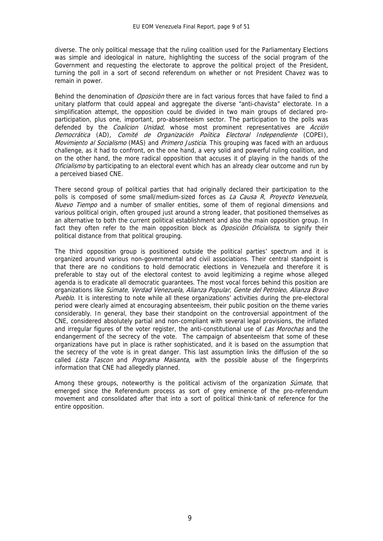diverse. The only political message that the ruling coalition used for the Parliamentary Elections was simple and ideological in nature, highlighting the success of the social program of the Government and requesting the electorate to approve the political project of the President, turning the poll in a sort of second referendum on whether or not President Chavez was to remain in power.

Behind the denomination of *Oposiciòn* there are in fact various forces that have failed to find a unitary platform that could appeal and aggregate the diverse "anti-chavista" electorate. In a simplification attempt, the opposition could be divided in two main groups of declared proparticipation, plus one, important, pro-absenteeism sector. The participation to the polls was defended by the *Coalicion Unidad*, whose most prominent representatives are *Acción* Democrática (AD), Comité de Organización Poíitica Electoral Independiente (COPEI), Movimiento al Socialismo (MAS) and Primero Justicia. This grouping was faced with an arduous challenge, as it had to confront, on the one hand, a very solid and powerful ruling coalition, and on the other hand, the more radical opposition that accuses it of playing in the hands of the Oficialismo by participating to an electoral event which has an already clear outcome and run by a perceived biased CNE.

There second group of political parties that had originally declared their participation to the polls is composed of some small/medium-sized forces as La Causa R, Proyecto Venezuela, Nuevo Tiempo and a number of smaller entities, some of them of regional dimensions and various political origin, often grouped just around a strong leader, that positioned themselves as an alternative to both the current political establishment and also the main opposition group. In fact they often refer to the main opposition block as Oposicion Oficialista, to signify their political distance from that political grouping.

The third opposition group is positioned outside the political parties' spectrum and it is organized around various non-governmental and civil associations. Their central standpoint is that there are no conditions to hold democratic elections in Venezuela and therefore it is preferable to stay out of the electoral contest to avoid legitimizing a regime whose alleged agenda is to eradicate all democratic guarantees. The most vocal forces behind this position are organizations like Súmate, Verdad Venezuela, Alianza Popular, Gente del Petroleo, Alianza Bravo Pueblo. It is interesting to note while all these organizations' activities during the pre-electoral period were clearly aimed at encouraging absenteeism, their public position on the theme varies considerably. In general, they base their standpoint on the controversial appointment of the CNE, considered absolutely partial and non-compliant with several legal provisions, the inflated and irregular figures of the voter register, the anti-constitutional use of Las Morochas and the endangerment of the secrecy of the vote. The campaign of absenteeism that some of these organizations have put in place is rather sophisticated, and it is based on the assumption that the secrecy of the vote is in great danger. This last assumption links the diffusion of the so called *Lista Tascon* and Programa Maisanta, with the possible abuse of the fingerprints information that CNE had allegedly planned.

Among these groups, noteworthy is the political activism of the organization *Súmate*, that emerged since the Referendum process as sort of grey eminence of the pro-referendum movement and consolidated after that into a sort of political think-tank of reference for the entire opposition.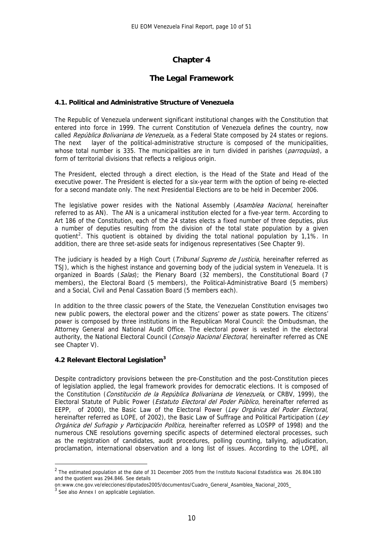# **Chapter 4**

#### **The Legal Framework**

#### **4.1. Political and Administrative Structure of Venezuela**

The Republic of Venezuela underwent significant institutional changes with the Constitution that entered into force in 1999. The current Constitution of Venezuela defines the country, now called República Bolivariana de Venezuela, as a Federal State composed by 24 states or regions. The next layer of the political-administrative structure is composed of the municipalities, whose total number is 335. The municipalities are in turn divided in parishes (parroquias), a form of territorial divisions that reflects a religious origin.

The President, elected through a direct election, is the Head of the State and Head of the executive power. The President is elected for a six-year term with the option of being re-elected for a second mandate only. The next Presidential Elections are to be held in December 2006.

The legislative power resides with the National Assembly (Asamblea Nacional, hereinafter referred to as AN). The AN is a unicameral institution elected for a five-year term. According to Art 186 of the Constitution, each of the 24 states elects a fixed number of three deputies, plus a number of deputies resulting from the division of the total state population by a given quotient<sup>[2](#page-10-0)</sup>. This quotient is obtained by dividing the total national population by 1,1%. In addition, there are three set-aside seats for indigenous representatives (See Chapter 9).

The judiciary is headed by a High Court (*Tribunal Supremo de Justicia*, hereinafter referred as TSJ), which is the highest instance and governing body of the judicial system in Venezuela. It is organized in Boards (Salas); the Plenary Board (32 members), the Constitutional Board (7 members), the Electoral Board (5 members), the Political-Administrative Board (5 members) and a Social, Civil and Penal Cassation Board (5 members each).

In addition to the three classic powers of the State, the Venezuelan Constitution envisages two new public powers, the electoral power and the citizens' power as state powers. The citizens' power is composed by three institutions in the Republican Moral Council: the Ombudsman, the Attorney General and National Audit Office. The electoral power is vested in the electoral authority, the National Electoral Council (Consejo Nacional Electoral, hereinafter referred as CNE see Chapter V).

#### **4.2 Relevant Electoral Legislation[3](#page-10-1)**

Despite contradictory provisions between the pre-Constitution and the post-Constitution pieces of legislation applied, the legal framework provides for democratic elections. It is composed of the Constitution (*Constitución de la República Bolivariana de Venezuela*, or CRBV, 1999), the Electoral Statute of Public Power (*Estatuto Electoral del Poder Público*, hereinafter referred as EEPP, of 2000), the Basic Law of the Electoral Power (Ley Orgánica del Poder Electoral, hereinafter referred as LOPE, of 2002), the Basic Law of Suffrage and Political Participation (Ley Orgánica del Sufragio y Participación Política, hereinafter referred as LOSPP of 1998) and the numerous CNE resolutions governing specific aspects of determined electoral processes, such as the registration of candidates, audit procedures, polling counting, tallying, adjudication, proclamation, international observation and a long list of issues. According to the LOPE, all

1

<span id="page-10-0"></span> $2$  The estimated population at the date of 31 December 2005 from the Instituto Nacional Estadística was 26.804.180 and the quotient was 294.846. See details

on:www.cne.gov.ve/elecciones/diputados2005/documentos/Cuadro\_General\_Asamblea\_Nacional\_2005\_

<span id="page-10-1"></span><sup>&</sup>lt;sup>3</sup> See also Annex I on applicable Legislation.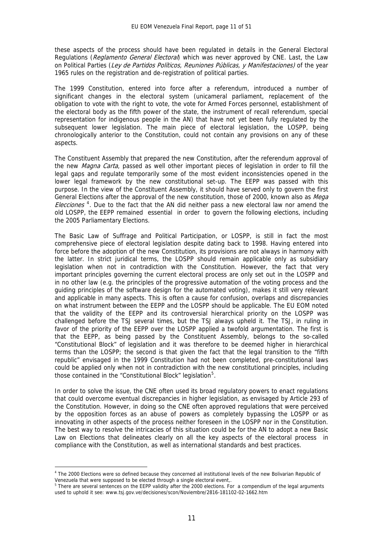these aspects of the process should have been regulated in details in the General Electoral Regulations (*Reglamento General Electoral*) which was never approved by CNE. Last, the Law on Political Parties (Ley de Partidos Políticos, Reuniones Públicas, y Manifestaciones) of the year 1965 rules on the registration and de-registration of political parties.

The 1999 Constitution, entered into force after a referendum, introduced a number of significant changes in the electoral system (unicameral parliament, replacement of the obligation to vote with the right to vote, the vote for Armed Forces personnel, establishment of the electoral body as the fifth power of the state, the instrument of recall referendum, special representation for indigenous people in the AN) that have not yet been fully regulated by the subsequent lower legislation. The main piece of electoral legislation, the LOSPP, being chronologically anterior to the Constitution, could not contain any provisions on any of these aspects.

The Constituent Assembly that prepared the new Constitution, after the referendum approval of the new *Magna Carta*, passed as well other important pieces of legislation in order to fill the legal gaps and regulate temporarily some of the most evident inconsistencies opened in the lower legal framework by the new constitutional set-up. The EEPP was passed with this purpose. In the view of the Constituent Assembly, it should have served only to govern the first General Elections after the approval of the new constitution, those of 2000, known also as Mega Elecciones<sup>[4](#page-11-0)</sup>. Due to the fact that the AN did neither pass a new electoral law nor amend the old LOSPP, the EEPP remained essential in order to govern the following elections, including the 2005 Parliamentary Elections.

The Basic Law of Suffrage and Political Participation, or LOSPP, is still in fact the most comprehensive piece of electoral legislation despite dating back to 1998. Having entered into force before the adoption of the new Constitution, its provisions are not always in harmony with the latter. In strict juridical terms, the LOSPP should remain applicable only as subsidiary legislation when not in contradiction with the Constitution. However, the fact that very important principles governing the current electoral process are only set out in the LOSPP and in no other law (e.g. the principles of the progressive automation of the voting process and the guiding principles of the software design for the automated voting), makes it still very relevant and applicable in many aspects. This is often a cause for confusion, overlaps and discrepancies on what instrument between the EEPP and the LOSPP should be applicable. The EU EOM noted that the validity of the EEPP and its controversial hierarchical priority on the LOSPP was challenged before the TSJ several times, but the TSJ always upheld it. The TSJ, in ruling in favor of the priority of the EEPP over the LOSPP applied a twofold argumentation. The first is that the EEPP, as being passed by the Constituent Assembly, belongs to the so-called "Constitutional Block" of legislation and it was therefore to be deemed higher in hierarchical terms than the LOSPP; the second is that given the fact that the legal transition to the "fifth republic" envisaged in the 1999 Constitution had not been completed, pre-constitutional laws could be applied only when not in contradiction with the new constitutional principles, including those contained in the "Constitutional Block" legislation<sup>[5](#page-11-1)</sup>.

In order to solve the issue, the CNE often used its broad regulatory powers to enact regulations that could overcome eventual discrepancies in higher legislation, as envisaged by Article 293 of the Constitution. However, in doing so the CNE often approved regulations that were perceived by the opposition forces as an abuse of powers as completely bypassing the LOSPP or as innovating in other aspects of the process neither foreseen in the LOSPP nor in the Constitution. The best way to resolve the intricacies of this situation could be for the AN to adopt a new Basic Law on Elections that delineates clearly on all the key aspects of the electoral process in compliance with the Constitution, as well as international standards and best practices.

1

<span id="page-11-0"></span><sup>&</sup>lt;sup>4</sup> The 2000 Elections were so defined because they concerned all institutional levels of the new Bolivarian Republic of Venezuela that were supposed to be elected through a single electoral event,.

<span id="page-11-1"></span><sup>&</sup>lt;sup>5</sup> There are several sentences on the EEPP validity after the 2000 elections. For a compendium of the legal arguments used to uphold it see: www.tsj.gov.ve/decisiones/scon/Noviembre/2816-181102-02-1662.htm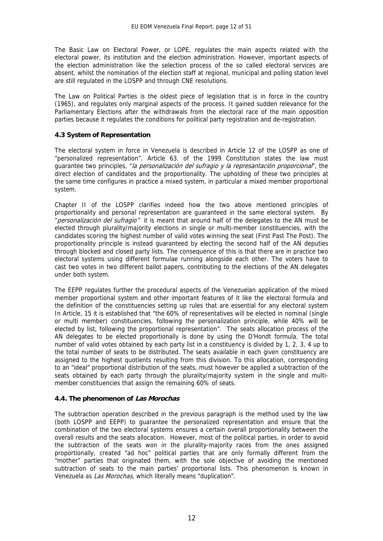The Basic Law on Electoral Power, or LOPE, regulates the main aspects related with the electoral power, its institution and the election administration. However, important aspects of the election administration like the selection process of the so called electoral services are absent, whilst the nomination of the election staff at regional, municipal and polling station level are still regulated in the LOSPP and through CNE resolutions.

The Law on Political Parties is the oldest piece of legislation that is in force in the country (1965), and regulates only marginal aspects of the process. It gained sudden relevance for the Parliamentary Elections after the withdrawals from the electoral race of the main opposition parties because it regulates the conditions for political party registration and de-registration.

#### **4.3 System of Representation**

The electoral system in force in Venezuela is described in Article 12 of the LOSPP as one of "personalized representation". Article 63. of the 1999 Constitution states the law must guarantee two principles, "*la personalización del sufragio y la represantación proporcional*", the direct election of candidates and the proportionality. The upholding of these two principles at the same time configures in practice a mixed system, in particular a mixed member proportional system.

Chapter II of the LOSPP clarifies indeed how the two above mentioned principles of proportionality and personal representation are guaranteed in the same electoral system. By "personalización del sufragio" it is meant that around half of the delegates to the AN must be elected through plurality/majority elections in single or multi-member constituencies, with the candidates scoring the highest number of valid votes winning the seat (First Past The Post). The proportionality principle is instead guaranteed by electing the second half of the AN deputies through blocked and closed party lists. The consequence of this is that there are in practice two electoral systems using different formulae running alongside each other. The voters have to cast two votes in two different ballot papers, contributing to the elections of the AN delegates under both system.

The EEPP regulates further the procedural aspects of the Venezuelan application of the mixed member proportional system and other important features of it like the electoral formula and the definition of the constituencies setting up rules that are essential for any electoral system In Article, 15 it is established that "the 60% of representatives will be elected in nominal (single or multi member) constituencies, following the personalization principle, while 40% will be elected by list, following the proportional representation". The seats allocation process of the AN delegates to be elected proportionally is done by using the D'Hondt formula. The total number of valid votes obtained by each party list in a constituency is divided by 1, 2, 3, 4 up to the total number of seats to be distributed. The seats available in each given constituency are assigned to the highest quotients resulting from this division. To this allocation, corresponding to an "ideal" proportional distribution of the seats, must however be applied a subtraction of the seats obtained by each party through the plurality/majority system in the single and multimember constituencies that assign the remaining 60% of seats.

#### **4.4. The phenomenon of Las Morochas**

The subtraction operation described in the previous paragraph is the method used by the law (both LOSPP and EEPP) to guarantee the personalized representation and ensure that the combination of the two electoral systems ensures a certain overall proportionality between the overall results and the seats allocation. However, most of the political parties, in order to avoid the subtraction of the seats won in the plurality-majority races from the ones assigned proportionally, created "ad hoc" political parties that are only formally different from the "mother" parties that originated them, with the sole objective of avoiding the mentioned subtraction of seats to the main parties' proportional lists. This phenomenon is known in Venezuela as Las Morochas, which literally means "duplication".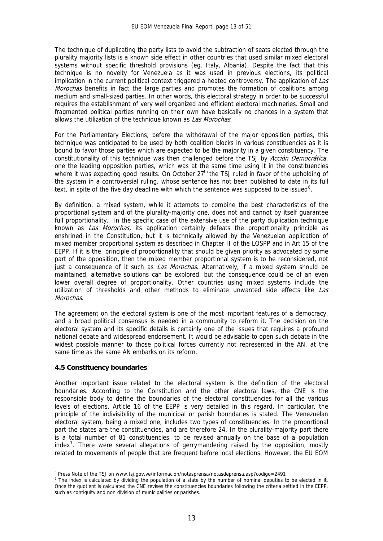The technique of duplicating the party lists to avoid the subtraction of seats elected through the plurality majority lists is a known side effect in other countries that used similar mixed electoral systems without specific threshold provisions (eg. Italy, Albania). Despite the fact that this technique is no novelty for Venezuela as it was used in previous elections, its political implication in the current political context triggered a heated controversy. The application of Las *Morochas* benefits in fact the large parties and promotes the formation of coalitions among medium and small-sized parties. In other words, this electoral strategy in order to be successful requires the establishment of very well organized and efficient electoral machineries. Small and fragmented political parties running on their own have basically no chances in a system that allows the utilization of the technique known as Las Morochas.

For the Parliamentary Elections, before the withdrawal of the major opposition parties, this technique was anticipated to be used by both coalition blocks in various constituencies as it is bound to favor those parties which are expected to be the majority in a given constituency. The constitutionality of this technique was then challenged before the TSJ by Acción Democrática, one the leading opposition parties, which was at the same time using it in the constituencies where it was expecting good results. On October  $27<sup>th</sup>$  the TSJ ruled in favor of the upholding of the system in a controversial ruling, whose sentence has not been published to date in its full text, in spite of the five day deadline with which the sentence was supposed to be issued<sup>[6](#page-13-0)</sup>.

By definition, a mixed system, while it attempts to combine the best characteristics of the proportional system and of the plurality-majority one, does not and cannot by itself guarantee full proportionality. In the specific case of the extensive use of the party duplication technique known as Las Morochas, its application certainly defeats the proportionality principle as enshrined in the Constitution, but it is technically allowed by the Venezuelan application of mixed member proportional system as described in Chapter II of the LOSPP and in Art 15 of the EEPP. If it is the principle of proportionality that should be given priority as advocated by some part of the opposition, then the mixed member proportional system is to be reconsidered, not just a consequence of it such as *Las Morochas*. Alternatively, if a mixed system should be maintained, alternative solutions can be explored, but the consequence could be of an even lower overall degree of proportionality. Other countries using mixed systems include the utilization of thresholds and other methods to eliminate unwanted side effects like Las Morochas.

The agreement on the electoral system is one of the most important features of a democracy, and a broad political consensus is needed in a community to reform it. The decision on the electoral system and its specific details is certainly one of the issues that requires a profound national debate and widespread endorsement. It would be advisable to open such debate in the widest possible manner to those political forces currently not represented in the AN, at the same time as the same AN embarks on its reform.

#### **4.5 Constituency boundaries**

Another important issue related to the electoral system is the definition of the electoral boundaries. According to the Constitution and the other electoral laws, the CNE is the responsible body to define the boundaries of the electoral constituencies for all the various levels of elections. Article 16 of the EEPP is very detailed in this regard. In particular, the principle of the indivisibility of the municipal or parish boundaries is stated. The Venezuelan electoral system, being a mixed one, includes two types of constituencies. In the proportional part the states are the constituencies, and are therefore 24. In the plurality-majority part there is a total number of 81 constituencies, to be revised annually on the base of a population index<sup>[7](#page-13-1)</sup>. There were several allegations of gerrymandering raised by the opposition, mostly related to movements of people that are frequent before local elections. However, the EU EOM

<sup>1</sup> <sup>6</sup> Press Note of the TSJ on www.tsj.gov.ve/informacion/notasprensa/notasdeprensa.asp?codigo=2491<br><sup>7</sup> The index is calculated by dividing the population of a state by the number of nominal deputies t

<span id="page-13-1"></span><span id="page-13-0"></span>The index is calculated by dividing the population of a state by the number of nominal deputies to be elected in it. Once the quotient is calculated the CNE revises the constituencies boundaries following the criteria settled in the EEPP, such as contiguity and non division of municipalities or parishes.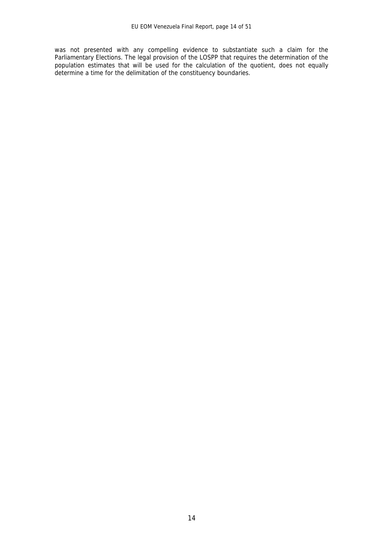was not presented with any compelling evidence to substantiate such a claim for the Parliamentary Elections. The legal provision of the LOSPP that requires the determination of the population estimates that will be used for the calculation of the quotient, does not equally determine a time for the delimitation of the constituency boundaries.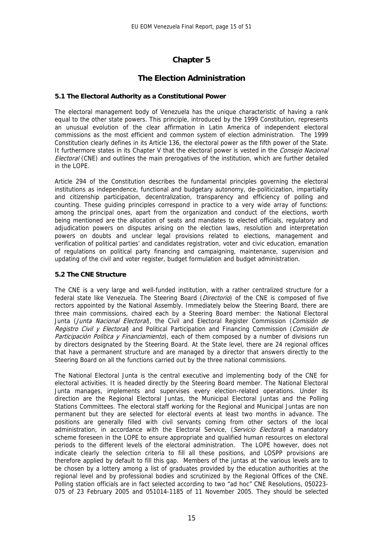# **Chapter 5**

#### **The Election Administration**

#### **5.1 The Electoral Authority as a Constitutional Power**

The electoral management body of Venezuela has the unique characteristic of having a rank equal to the other state powers. This principle, introduced by the 1999 Constitution, represents an unusual evolution of the clear affirmation in Latin America of independent electoral commissions as the most efficient and common system of election administration. The 1999 Constitution clearly defines in its Article 136, the electoral power as the fifth power of the State. It furthermore states in its Chapter V that the electoral power is vested in the Consejo Nacional Electoral (CNE) and outlines the main prerogatives of the institution, which are further detailed in the LOPE.

Article 294 of the Constitution describes the fundamental principles governing the electoral institutions as independence, functional and budgetary autonomy, de-politicization, impartiality and citizenship participation, decentralization, transparency and efficiency of polling and counting. These guiding principles correspond in practice to a very wide array of functions: among the principal ones, apart from the organization and conduct of the elections, worth being mentioned are the allocation of seats and mandates to elected officials, regulatory and adjudication powers on disputes arising on the election laws, resolution and interpretation powers on doubts and unclear legal provisions related to elections, management and verification of political parties' and candidates registration, voter and civic education, emanation of regulations on political party financing and campaigning, maintenance, supervision and updating of the civil and voter register, budget formulation and budget administration.

#### **5.2 The CNE Structure**

The CNE is a very large and well-funded institution, with a rather centralized structure for a federal state like Venezuela. The Steering Board (Directorio) of the CNE is composed of five rectors appointed by the National Assembly. Immediately below the Steering Board, there are three main commissions, chaired each by a Steering Board member: the National Electoral Junta (Junta Nacional Electoral), the Civil and Electoral Register Commission (Comisión de Registro Civil y Electoral) and Political Participation and Financing Commission (Comisión de Participación Política y Financiamiento), each of them composed by a number of divisions run by directors designated by the Steering Board. At the State level, there are 24 regional offices that have a permanent structure and are managed by a director that answers directly to the Steering Board on all the functions carried out by the three national commissions.

The National Electoral Junta is the central executive and implementing body of the CNE for electoral activities. It is headed directly by the Steering Board member. The National Electoral Junta manages, implements and supervises every election-related operations. Under its direction are the Regional Electoral Juntas, the Municipal Electoral Juntas and the Polling Stations Committees. The electoral staff working for the Regional and Municipal Juntas are non permanent but they are selected for electoral events at least two months in advance. The positions are generally filled with civil servants coming from other sectors of the local administration, in accordance with the Electoral Service, (Servicio Electoral) a mandatory scheme foreseen in the LOPE to ensure appropriate and qualified human resources on electoral periods to the different levels of the electoral administration. The LOPE however, does not indicate clearly the selection criteria to fill all these positions, and LOSPP provisions are therefore applied by default to fill this gap. Members of the juntas at the various levels are to be chosen by a lottery among a list of graduates provided by the education authorities at the regional level and by professional bodies and scrutinized by the Regional Offices of the CNE. Polling station officials are in fact selected according to two "ad hoc" CNE Resolutions, 050223- 075 of 23 February 2005 and 051014-1185 of 11 November 2005. They should be selected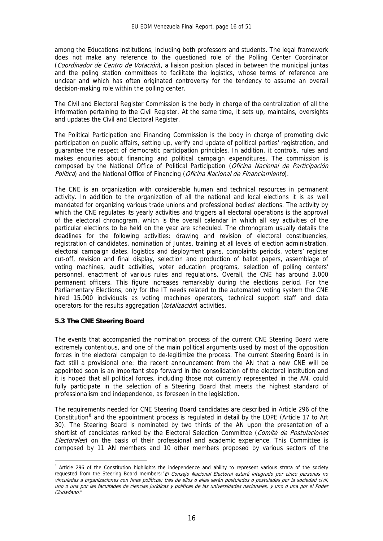among the Educations institutions, including both professors and students. The legal framework does not make any reference to the questioned role of the Polling Center Coordinator (Coordinador de Centro de Votación), a liaison position placed in between the municipal juntas and the poling station committees to facilitate the logistics, whose terms of reference are unclear and which has often originated controversy for the tendency to assume an overall decision-making role within the polling center.

The Civil and Electoral Register Commission is the body in charge of the centralization of all the information pertaining to the Civil Register. At the same time, it sets up, maintains, oversights and updates the Civil and Electoral Register.

The Political Participation and Financing Commission is the body in charge of promoting civic participation on public affairs, setting up, verify and update of political parties' registration, and guarantee the respect of democratic participation principles. In addition, it controls, rules and makes enquiries about financing and political campaign expenditures. The commission is composed by the National Office of Political Participation (Oficina Nacional de Participación Política) and the National Office of Financing (Oficina Nacional de Financiamiento).

The CNE is an organization with considerable human and technical resources in permanent activity. In addition to the organization of all the national and local elections it is as well mandated for organizing various trade unions and professional bodies' elections. The activity by which the CNE regulates its yearly activities and triggers all electoral operations is the approval of the electoral chronogram, which is the overall calendar in which all key activities of the particular elections to be held on the year are scheduled. The chronogram usually details the deadlines for the following activities: drawing and revision of electoral constituencies, registration of candidates, nomination of Juntas, training at all levels of election administration, electoral campaign dates, logistics and deployment plans, complaints periods, voters' register cut-off, revision and final display, selection and production of ballot papers, assemblage of voting machines, audit activities, voter education programs, selection of polling centers' personnel, enactment of various rules and regulations. Overall, the CNE has around 3.000 permanent officers. This figure increases remarkably during the elections period. For the Parliamentary Elections, only for the IT needs related to the automated voting system the CNE hired 15.000 individuals as voting machines operators, technical support staff and data operators for the results aggregation (totalización) activities.

#### **5.3 The CNE Steering Board**

1

The events that accompanied the nomination process of the current CNE Steering Board were extremely contentious, and one of the main political arguments used by most of the opposition forces in the electoral campaign to de-legitimize the process. The current Steering Board is in fact still a provisional one: the recent announcement from the AN that a new CNE will be appointed soon is an important step forward in the consolidation of the electoral institution and it is hoped that all political forces, including those not currently represented in the AN, could fully participate in the selection of a Steering Board that meets the highest standard of professionalism and independence, as foreseen in the legislation.

The requirements needed for CNE Steering Board candidates are described in Article 296 of the Constitution<sup>[8](#page-16-0)</sup> and the appointment process is regulated in detail by the LOPE (Article 17 to Art 30). The Steering Board is nominated by two thirds of the AN upon the presentation of a shortlist of candidates ranked by the Electoral Selection Committee (Comité de Postulaciones Electorales) on the basis of their professional and academic experience. This Committee is composed by 11 AN members and 10 other members proposed by various sectors of the

<span id="page-16-0"></span><sup>&</sup>lt;sup>8</sup> Article 296 of the Constitution highlights the independence and ability to represent various strata of the society requested from the Steering Board members: "El Consejo Nacional Electoral estará integrado por cinco personas no vinculadas a organizaciones con fines políticos; tres de ellos o ellas serán postulados o postuladas por la sociedad civil, uno o una por las facultades de ciencias jurídicas y políticas de las universidades nacionales, y uno o una por el Poder Ciudadano."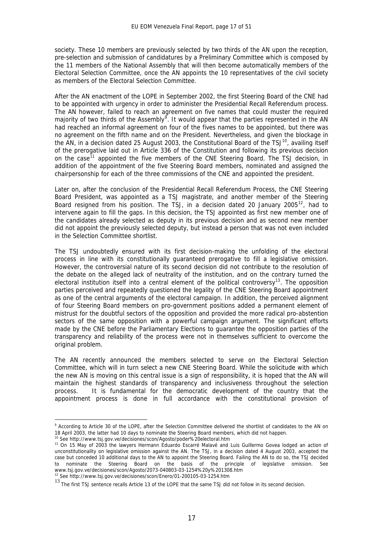society. These 10 members are previously selected by two thirds of the AN upon the reception, pre-selection and submission of candidatures by a Preliminary Committee which is composed by the 11 members of the National Assembly that will then become automatically members of the Electoral Selection Committee, once the AN appoints the 10 representatives of the civil society as members of the Electoral Selection Committee.

After the AN enactment of the LOPE in September 2002, the first Steering Board of the CNE had to be appointed with urgency in order to administer the Presidential Recall Referendum process. The AN however, failed to reach an agreement on five names that could muster the required majority of two thirds of the Assembly<sup>[9](#page-17-0)</sup>. It would appear that the parties represented in the AN had reached an informal agreement on four of the fives names to be appointed, but there was no agreement on the fifth name and on the President. Nevertheless, and given the blockage in the AN, in a decision dated 25 August 2003, the Constitutional Board of the TSJ $^{10}$  $^{10}$  $^{10}$ , availing itself of the prerogative laid out in Article 336 of the Constitution and following its previous decision on the case<sup>[11](#page-17-2)</sup> appointed the five members of the CNE Steering Board. The TSJ decision, in addition of the appointment of the five Steering Board members, nominated and assigned the chairpersonship for each of the three commissions of the CNE and appointed the president.

Later on, after the conclusion of the Presidential Recall Referendum Process, the CNE Steering Board President, was appointed as a TSJ magistrate, and another member of the Steering Board resigned from his position. The TSJ, in a decision dated 20 January 2005<sup>[12](#page-17-3)</sup>, had to intervene again to fill the gaps. In this decision, the TSJ appointed as first new member one of the candidates already selected as deputy in its previous decision and as second new member did not appoint the previously selected deputy, but instead a person that was not even included in the Selection Committee shortlist.

The TSJ undoubtedly ensured with its first decision-making the unfolding of the electoral process in line with its constitutionally guaranteed prerogative to fill a legislative omission. However, the controversial nature of its second decision did not contribute to the resolution of the debate on the alleged lack of neutrality of the institution, and on the contrary turned the electoral institution itself into a central element of the political controversy<sup>[13](#page-17-4)</sup>. The opposition parties perceived and repeatedly questioned the legality of the CNE Steering Board appointment as one of the central arguments of the electoral campaign. In addition, the perceived alignment of four Steering Board members on pro-government positions added a permanent element of mistrust for the doubtful sectors of the opposition and provided the more radical pro-abstention sectors of the same opposition with a powerful campaign argument. The significant efforts made by the CNE before the Parliamentary Elections to guarantee the opposition parties of the transparency and reliability of the process were not in themselves sufficient to overcome the original problem.

The AN recently announced the members selected to serve on the Electoral Selection Committee, which will in turn select a new CNE Steering Board. While the solicitude with which the new AN is moving on this central issue is a sign of responsibility, it is hoped that the AN will maintain the highest standards of transparency and inclusiveness throughout the selection process. It is fundamental for the democratic development of the country that the appointment process is done in full accordance with the constitutional provision of

1

<span id="page-17-0"></span><sup>&</sup>lt;sup>9</sup> According to Article 30 of the LOPE, after the Selection Committee delivered the shortlist of candidates to the AN on 18 April 2003, the latter had 10 days to nominate the Steering Board members, which did not happen.<br><sup>10</sup> See http://www.tsj.gov.ve/decisiones/scon/Agosto/poder%20electoral.htm<br><sup>11</sup> On 15 May of 2003 the lawyers Hermann Edu

<span id="page-17-1"></span>

<span id="page-17-2"></span>unconstitutionality on legislative omission against the AN. The TSJ, in a decision dated 4 August 2003, accepted the case but conceded 10 additional days to the AN to appoint the Steering Board. Failing the AN to do so, the TSJ decided to nominate the Steering Board on the basis of the principle of legislative omission. See www.tsj.gov.ve/decisiones/scon/Agosto/2073-040803-03-1254%20y%201308.htm<br><sup>12</sup> See http://www.tsj.gov.ve/decisiones/scon/Enero/01-200105-03-1254.htm

<span id="page-17-3"></span>

<span id="page-17-4"></span><sup>13</sup> The first TSJ sentence recalls Article 13 of the LOPE that the same TSJ did not follow in its second decision.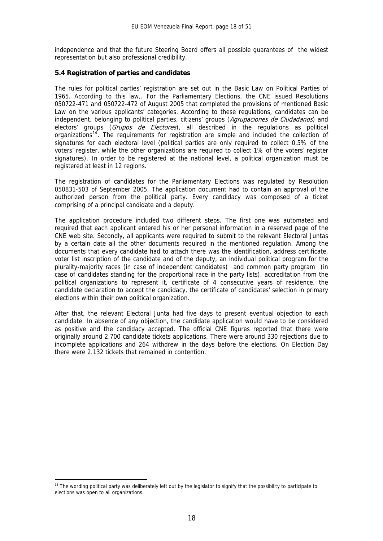independence and that the future Steering Board offers all possible guarantees of the widest representation but also professional credibility.

#### **5.4 Registration of parties and candidates**

The rules for political parties' registration are set out in the Basic Law on Political Parties of 1965. According to this law,. For the Parliamentary Elections, the CNE issued Resolutions 050722-471 and 050722-472 of August 2005 that completed the provisions of mentioned Basic Law on the various applicants' categories. According to these regulations, candidates can be independent, belonging to political parties, citizens' groups (Agrupaciones de Ciudadanos) and electors' groups (Grupos de Electores), all described in the regulations as political organizations<sup>[14](#page-18-0)</sup>. The requirements for registration are simple and included the collection of signatures for each electoral level (political parties are only required to collect 0.5% of the voters' register, while the other organizations are required to collect 1% of the voters' register signatures). In order to be registered at the national level, a political organization must be registered at least in 12 regions.

The registration of candidates for the Parliamentary Elections was regulated by Resolution 050831-503 of September 2005. The application document had to contain an approval of the authorized person from the political party. Every candidacy was composed of a ticket comprising of a principal candidate and a deputy.

The application procedure included two different steps. The first one was automated and required that each applicant entered his or her personal information in a reserved page of the CNE web site. Secondly, all applicants were required to submit to the relevant Electoral Juntas by a certain date all the other documents required in the mentioned regulation. Among the documents that every candidate had to attach there was the identification, address certificate, voter list inscription of the candidate and of the deputy, an individual political program for the plurality-majority races (in case of independent candidates) and common party program (in case of candidates standing for the proportional race in the party lists), accreditation from the political organizations to represent it, certificate of 4 consecutive years of residence, the candidate declaration to accept the candidacy, the certificate of candidates' selection in primary elections within their own political organization.

After that, the relevant Electoral Junta had five days to present eventual objection to each candidate. In absence of any objection, the candidate application would have to be considered as positive and the candidacy accepted. The official CNE figures reported that there were originally around 2.700 candidate tickets applications. There were around 330 rejections due to incomplete applications and 264 withdrew in the days before the elections. On Election Day there were 2.132 tickets that remained in contention.

<u>.</u>

<span id="page-18-0"></span><sup>&</sup>lt;sup>14</sup> The wording political party was deliberately left out by the legislator to signify that the possibility to participate to elections was open to all organizations.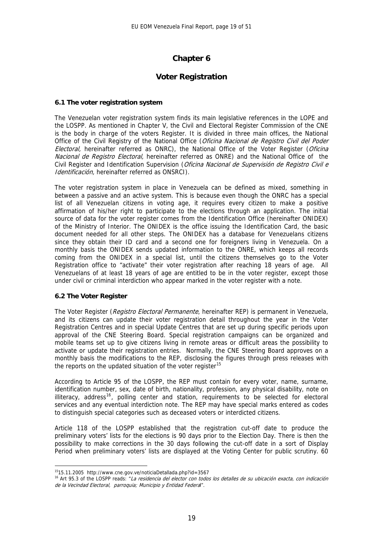# **Chapter 6**

#### **Voter Registration**

#### **6.1 The voter registration system**

The Venezuelan voter registration system finds its main legislative references in the LOPE and the LOSPP. As mentioned in Chapter V, the Civil and Electoral Register Commission of the CNE is the body in charge of the voters Register. It is divided in three main offices, the National Office of the Civil Registry of the National Office (Oficina Nacional de Registro Civil del Poder Electoral, hereinafter referred as ONRC), the National Office of the Voter Register (Oficina Nacional de Registro Electoral, hereinafter referred as ONRE) and the National Office of the Civil Register and Identification Supervision (Oficina Nacional de Supervisión de Registro Civil e Identificación, hereinafter referred as ONSRCI).

The voter registration system in place in Venezuela can be defined as mixed, something in between a passive and an active system. This is because even though the ONRC has a special list of all Venezuelan citizens in voting age, it requires every citizen to make a positive affirmation of his/her right to participate to the elections through an application. The initial source of data for the voter register comes from the Identification Office (hereinafter ONIDEX) of the Ministry of Interior. The ONIDEX is the office issuing the Identification Card, the basic document needed for all other steps. The ONIDEX has a database for Venezuelans citizens since they obtain their ID card and a second one for foreigners living in Venezuela. On a monthly basis the ONIDEX sends updated information to the ONRE, which keeps all records coming from the ONIDEX in a special list, until the citizens themselves go to the Voter Registration office to "activate" their voter registration after reaching 18 years of age. All Venezuelans of at least 18 years of age are entitled to be in the voter register, except those under civil or criminal interdiction who appear marked in the voter register with a note.

#### **6.2 The Voter Register**

1

The Voter Register (Registro Electoral Permanente, hereinafter REP) is permanent in Venezuela, and its citizens can update their voter registration detail throughout the year in the Voter Registration Centres and in special Update Centres that are set up during specific periods upon approval of the CNE Steering Board. Special registration campaigns can be organized and mobile teams set up to give citizens living in remote areas or difficult areas the possibility to activate or update their registration entries. Normally, the CNE Steering Board approves on a monthly basis the modifications to the REP, disclosing the figures through press releases with the reports on the updated situation of the voter register<sup>[15](#page-19-0)</sup>

According to Article 95 of the LOSPP, the REP must contain for every voter, name, surname, identification number, sex, date of birth, nationality, profession, any physical disability, note on illiteracy, address<sup>[16](#page-19-1)</sup>, polling center and station, requirements to be selected for electoral services and any eventual interdiction note. The REP may have special marks entered as codes to distinguish special categories such as deceased voters or interdicted citizens.

Article 118 of the LOSPP established that the registration cut-off date to produce the preliminary voters' lists for the elections is 90 days prior to the Election Day. There is then the possibility to make corrections in the 30 days following the cut-off date in a sort of Display Period when preliminary voters' lists are displayed at the Voting Center for public scrutiny. 60

<span id="page-19-1"></span><span id="page-19-0"></span><sup>&</sup>lt;sup>15</sup>15.11.2005 http://www.cne.gov.ve/noticiaDetallada.php?id=3567<br><sup>16</sup> Art 95.3 of the LOSPP reads: *"La residencia del elector con todos los detalles de su ubicación exacta, con indicación* de la Vecindad Electoral, parroquia; Municipio y Entidad Federal".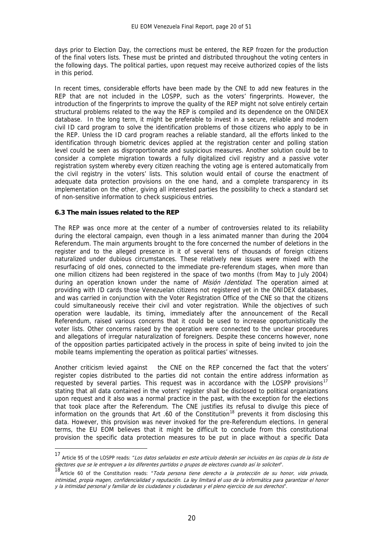days prior to Election Day, the corrections must be entered, the REP frozen for the production of the final voters lists. These must be printed and distributed throughout the voting centers in the following days. The political parties, upon request may receive authorized copies of the lists in this period.

In recent times, considerable efforts have been made by the CNE to add new features in the REP that are not included in the LOSPP, such as the voters' fingerprints. However, the introduction of the fingerprints to improve the quality of the REP might not solve entirely certain structural problems related to the way the REP is compiled and its dependence on the ONIDEX database. In the long term, it might be preferable to invest in a secure, reliable and modern civil ID card program to solve the identification problems of those citizens who apply to be in the REP. Unless the ID card program reaches a reliable standard, all the efforts linked to the identification through biometric devices applied at the registration center and polling station level could be seen as disproportionate and suspicious measures. Another solution could be to consider a complete migration towards a fully digitalized civil registry and a passive voter registration system whereby every citizen reaching the voting age is entered automatically from the civil registry in the voters' lists. This solution would entail of course the enactment of adequate data protection provisions on the one hand, and a complete transparency in its implementation on the other, giving all interested parties the possibility to check a standard set of non-sensitive information to check suspicious entries.

#### **6.3 The main issues related to the REP**

1

The REP was once more at the center of a number of controversies related to its reliability during the electoral campaign, even though in a less animated manner than during the 2004 Referendum. The main arguments brought to the fore concerned the number of deletions in the register and to the alleged presence in it of several tens of thousands of foreign citizens naturalized under dubious circumstances. These relatively new issues were mixed with the resurfacing of old ones, connected to the immediate pre-referendum stages, when more than one million citizens had been registered in the space of two months (from May to July 2004) during an operation known under the name of Misión Identidad. The operation aimed at providing with ID cards those Venezuelan citizens not registered yet in the ONIDEX databases, and was carried in conjunction with the Voter Registration Office of the CNE so that the citizens could simultaneously receive their civil and voter registration. While the objectives of such operation were laudable, its timing, immediately after the announcement of the Recall Referendum, raised various concerns that it could be used to increase opportunistically the voter lists. Other concerns raised by the operation were connected to the unclear procedures and allegations of irregular naturalization of foreigners. Despite these concerns however, none of the opposition parties participated actively in the process in spite of being invited to join the mobile teams implementing the operation as political parties' witnesses.

Another criticism levied against the CNE on the REP concerned the fact that the voters' register copies distributed to the parties did not contain the entire address information as requested by several parties. This request was in accordance with the LOSPP provisions<sup>[17](#page-20-0)</sup> stating that all data contained in the voters' register shall be disclosed to political organizations upon request and it also was a normal practice in the past, with the exception for the elections that took place after the Referendum. The CNE justifies its refusal to divulge this piece of information on the grounds that Art .60 of the Constitution<sup>[18](#page-20-1)</sup> prevents it from disclosing this data. However, this provision was never invoked for the pre-Referendum elections. In general terms, the EU EOM believes that it might be difficult to conclude from this constitutional provision the specific data protection measures to be put in place without a specific Data

<span id="page-20-0"></span><sup>17</sup> Article 95 of the LOSPP reads: "Los datos señalados en este artículo deberán ser incluidos en las copias de la lista de electores que se le entreguen a los diferentes partidos o grupos de electores cuando así lo soliciten".

<span id="page-20-1"></span><sup>18&</sup>lt;br>Article 60 of the Constitution reads: "Toda persona tiene derecho a la protección de su honor, vida privada, intimidad, propia magen, confidencialidad y reputación. La ley limitará el uso de la informática para garantizar el honor y la intimidad personal y familiar de los ciudadanos y ciudadanas y el pleno ejercicio de sus derechos".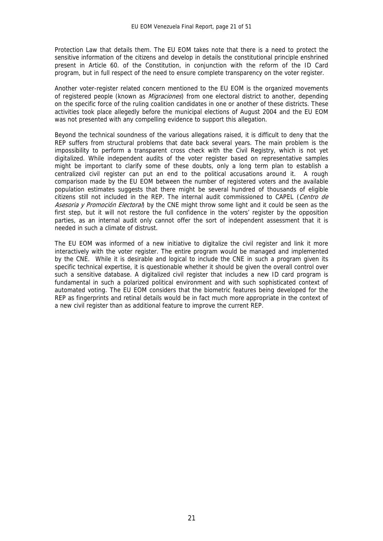Protection Law that details them. The EU EOM takes note that there is a need to protect the sensitive information of the citizens and develop in details the constitutional principle enshrined present in Article 60. of the Constitution, in conjunction with the reform of the ID Card program, but in full respect of the need to ensure complete transparency on the voter register.

Another voter-register related concern mentioned to the EU EOM is the organized movements of registered people (known as *Migraciones*) from one electoral district to another, depending on the specific force of the ruling coalition candidates in one or another of these districts. These activities took place allegedly before the municipal elections of August 2004 and the EU EOM was not presented with any compelling evidence to support this allegation.

Beyond the technical soundness of the various allegations raised, it is difficult to deny that the REP suffers from structural problems that date back several years. The main problem is the impossibility to perform a transparent cross check with the Civil Registry, which is not yet digitalized. While independent audits of the voter register based on representative samples might be important to clarify some of these doubts, only a long term plan to establish a centralized civil register can put an end to the political accusations around it. A rough comparison made by the EU EOM between the number of registered voters and the available population estimates suggests that there might be several hundred of thousands of eligible citizens still not included in the REP. The internal audit commissioned to CAPEL (Centro de Asesoria y Promoción Electoral) by the CNE might throw some light and it could be seen as the first step, but it will not restore the full confidence in the voters' register by the opposition parties, as an internal audit only cannot offer the sort of independent assessment that it is needed in such a climate of distrust.

The FU FOM was informed of a new initiative to digitalize the civil register and link it more interactively with the voter register. The entire program would be managed and implemented by the CNE. While it is desirable and logical to include the CNE in such a program given its specific technical expertise, it is questionable whether it should be given the overall control over such a sensitive database. A digitalized civil register that includes a new ID card program is fundamental in such a polarized political environment and with such sophisticated context of automated voting. The EU EOM considers that the biometric features being developed for the REP as fingerprints and retinal details would be in fact much more appropriate in the context of a new civil register than as additional feature to improve the current REP.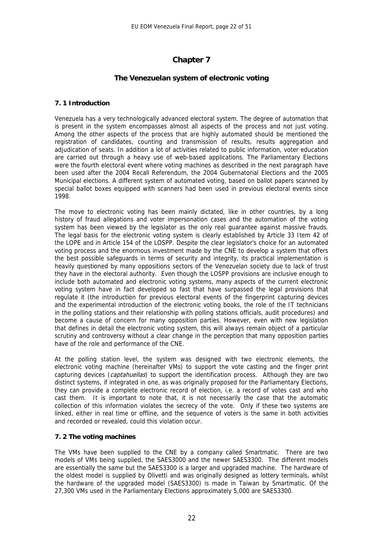# **Chapter 7**

#### **The Venezuelan system of electronic voting**

#### **7. 1 Introduction**

Venezuela has a very technologically advanced electoral system. The degree of automation that is present in the system encompasses almost all aspects of the process and not just voting. Among the other aspects of the process that are highly automated should be mentioned the registration of candidates, counting and transmission of results, results aggregation and adjudication of seats. In addition a lot of activities related to public information, voter education are carried out through a heavy use of web-based applications. The Parliamentary Elections were the fourth electoral event where voting machines as described in the next paragraph have been used after the 2004 Recall Referendum, the 2004 Gubernatorial Elections and the 2005 Municipal elections. A different system of automated voting, based on ballot papers scanned by special ballot boxes equipped with scanners had been used in previous electoral events since 1998.

The move to electronic voting has been mainly dictated, like in other countries, by a long history of fraud allegations and voter impersonation cases and the automation of the voting system has been viewed by the legislator as the only real guarantee against massive frauds. The legal basis for the electronic voting system is clearly established by Article 33 Item 42 of the LOPE and in Article 154 of the LOSPP. Despite the clear legislator's choice for an automated voting process and the enormous investment made by the CNE to develop a system that offers the best possible safeguards in terms of security and integrity, its practical implementation is heavily questioned by many oppositions sectors of the Venezuelan society due to lack of trust they have in the electoral authority. Even though the LOSPP provisions are inclusive enough to include both automated and electronic voting systems, many aspects of the current electronic voting system have in fact developed so fast that have surpassed the legal provisions that regulate it (the introduction for previous electoral events of the fingerprint capturing devices and the experimental introduction of the electronic voting books, the role of the IT technicians in the polling stations and their relationship with polling stations officials, audit procedures) and become a cause of concern for many opposition parties. However, even with new legislation that defines in detail the electronic voting system, this will always remain object of a particular scrutiny and controversy without a clear change in the perception that many opposition parties have of the role and performance of the CNE.

At the polling station level, the system was designed with two electronic elements, the electronic voting machine (hereinafter VMs) to support the vote casting and the finger print capturing devices (captahuellas) to support the identification process. Although they are two distinct systems, if integrated in one, as was originally proposed for the Parliamentary Elections, they can provide a complete electronic record of election, i.e. a record of votes cast and who cast them. It is important to note that, it is not necessarily the case that the automatic collection of this information violates the secrecy of the vote. Only if these two systems are linked, either in real time or offline, and the sequence of voters is the same in both activities and recorded or revealed, could this violation occur.

#### **7. 2 The voting machines**

The VMs have been supplied to the CNE by a company called Smartmatic. There are two models of VMs being supplied, the SAES3000 and the newer SAES3300. The different models are essentially the same but the SAES3300 is a larger and upgraded machine. The hardware of the oldest model is supplied by Olivetti and was originally designed as lottery terminals, whilst the hardware of the upgraded model (SAES3300) is made in Taiwan by Smartmatic. Of the 27,300 VMs used in the Parliamentary Elections approximately 5,000 are SAES3300.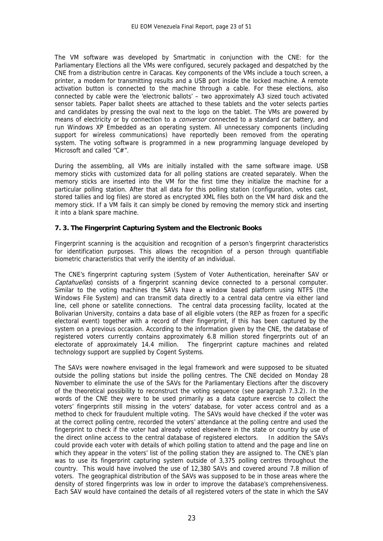The VM software was developed by Smartmatic in conjunction with the CNE: for the Parliamentary Elections all the VMs were configured, securely packaged and despatched by the CNE from a distribution centre in Caracas. Key components of the VMs include a touch screen, a printer, a modem for transmitting results and a USB port inside the locked machine. A remote activation button is connected to the machine through a cable. For these elections, also connected by cable were the 'electronic ballots' – two approximately A3 sized touch activated sensor tablets. Paper ballot sheets are attached to these tablets and the voter selects parties and candidates by pressing the oval next to the logo on the tablet. The VMs are powered by means of electricity or by connection to a *conversor* connected to a standard car battery, and run Windows XP Embedded as an operating system. All unnecessary components (including support for wireless communications) have reportedly been removed from the operating system. The voting software is programmed in a new programming language developed by Microsoft and called "C#".

During the assembling, all VMs are initially installed with the same software image. USB memory sticks with customized data for all polling stations are created separately. When the memory sticks are inserted into the VM for the first time they initialize the machine for a particular polling station. After that all data for this polling station (configuration, votes cast, stored tallies and log files) are stored as encrypted XML files both on the VM hard disk and the memory stick. If a VM fails it can simply be cloned by removing the memory stick and inserting it into a blank spare machine.

#### **7. 3. The Fingerprint Capturing System and the Electronic Books**

Fingerprint scanning is the acquisition and recognition of a person's fingerprint characteristics for identification purposes. This allows the recognition of a person through quantifiable biometric characteristics that verify the identity of an individual.

The CNE's fingerprint capturing system (System of Voter Authentication, hereinafter SAV or Captahuellas) consists of a fingerprint scanning device connected to a personal computer. Similar to the voting machines the SAVs have a window based platform using NTFS (the Windows File System) and can transmit data directly to a central data centre via either land line, cell phone or satellite connections. The central data processing facility, located at the Bolivarian University, contains a data base of all eligible voters (the REP as frozen for a specific electoral event) together with a record of their fingerprint, if this has been captured by the system on a previous occasion. According to the information given by the CNE, the database of registered voters currently contains approximately 6.8 million stored fingerprints out of an electorate of approximately 14.4 million. The fingerprint capture machines and related technology support are supplied by Cogent Systems.

The SAVs were nowhere envisaged in the legal framework and were supposed to be situated outside the polling stations but inside the polling centres. The CNE decided on Monday 28 November to eliminate the use of the SAVs for the Parliamentary Elections after the discovery of the theoretical possibility to reconstruct the voting sequence (see paragraph 7.3.2). In the words of the CNE they were to be used primarily as a data capture exercise to collect the voters' fingerprints still missing in the voters' database, for voter access control and as a method to check for fraudulent multiple voting. The SAVs would have checked if the voter was at the correct polling centre, recorded the voters' attendance at the polling centre and used the fingerprint to check if the voter had already voted elsewhere in the state or country by use of the direct online access to the central database of registered electors. In addition the SAVs could provide each voter with details of which polling station to attend and the page and line on which they appear in the voters' list of the polling station they are assigned to. The CNE's plan was to use its fingerprint capturing system outside of 3,375 polling centres throughout the country. This would have involved the use of 12,380 SAVs and covered around 7.8 million of voters. The geographical distribution of the SAVs was supposed to be in those areas where the density of stored fingerprints was low in order to improve the database's comprehensiveness. Each SAV would have contained the details of all registered voters of the state in which the SAV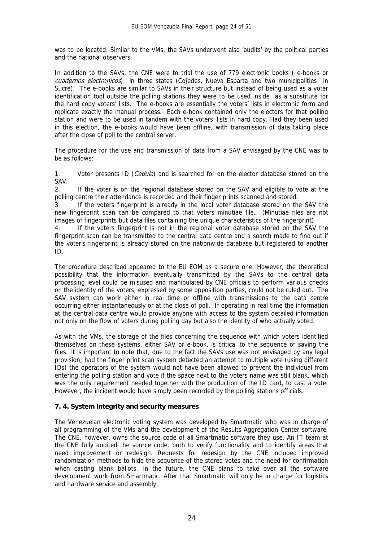was to be located. Similar to the VMs, the SAVs underwent also 'audits' by the political parties and the national observers.

In addition to the SAVs, the CNE were to trial the use of 779 electronic books ( e-books or cuadernos electronicos) in three states (Cojedes, Nueva Esparta and two municipalities in Sucre). The e-books are similar to SAVs in their structure but instead of being used as a voter identification tool outside the polling stations they were to be used inside as a substitute for the hard copy voters' lists. The e-books are essentially the voters' lists in electronic form and replicate exactly the manual process. Each e-book contained only the electors for that polling station and were to be used in tandem with the voters' lists in hard copy. Had they been used in this election, the e-books would have been offline, with transmission of data taking place after the close of poll to the central server.

The procedure for the use and transmission of data from a SAV envisaged by the CNE was to be as follows:

1. Voter presents ID (*Cédula*) and is searched for on the elector database stored on the SAV.

2. If the voter is on the regional database stored on the SAV and eligible to vote at the polling centre their attendance is recorded and their finger prints scanned and stored.

3. If the voters fingerprint is already in the local voter database stored on the SAV the new fingerprint scan can be compared to that voters minutiae file. (Minutiae files are not images of fingerprints but data files containing the unique characteristics of the fingerprint).

4. If the voters fingerprint is not in the regional voter database stored on the SAV the fingerprint scan can be transmitted to the central data centre and a search made to find out if the voter's fingerprint is already stored on the nationwide database but registered to another ID.

The procedure described appeared to the EU EOM as a secure one. However, the theoretical possibility that the information eventually transmitted by the SAVs to the central data processing level could be misused and manipulated by CNE officials to perform various checks on the identity of the voters, expressed by some opposition parties, could not be ruled out. The SAV system can work either in real time or offline with transmissions to the data centre occurring either instantaneously or at the close of poll. If operating in real time the information at the central data centre would provide anyone with access to the system detailed information not only on the flow of voters during polling day but also the identity of who actually voted.

As with the VMs, the storage of the files concerning the sequence with which voters identified themselves on these systems, either SAV or e-book, is critical to the sequence of saving the files. It is important to note that, due to the fact the SAVs use was not envisaged by any legal provision; had the finger print scan system detected an attempt to multiple vote (using different IDs) the operators of the system would not have been allowed to prevent the individual from entering the polling station and vote if the space next to the voters name was still blank, which was the only requirement needed together with the production of the ID card, to cast a vote. However, the incident would have simply been recorded by the polling stations officials.

#### **7. 4. System integrity and security measures**

The Venezuelan electronic voting system was developed by Smartmatic who was in charge of all programming of the VMs and the development of the Results Aggregation Center software. The CNE, however, owns the source code of all Smartmatic software they use. An IT team at the CNE fully audited the source code, both to verify functionality and to identify areas that need improvement or redesign. Requests for redesign by the CNE included improved randomization methods to hide the sequence of the stored votes and the need for confirmation when casting blank ballots. In the future, the CNE plans to take over all the software development work from Smartmatic. After that Smartmatic will only be in charge for logistics and hardware service and assembly.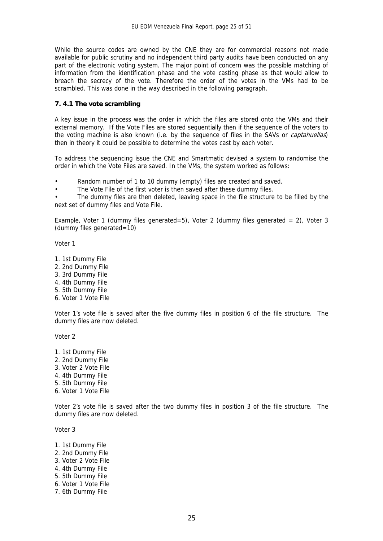While the source codes are owned by the CNE they are for commercial reasons not made available for public scrutiny and no independent third party audits have been conducted on any part of the electronic voting system. The major point of concern was the possible matching of information from the identification phase and the vote casting phase as that would allow to breach the secrecy of the vote. Therefore the order of the votes in the VMs had to be scrambled. This was done in the way described in the following paragraph.

#### **7. 4.1 The vote scrambling**

A key issue in the process was the order in which the files are stored onto the VMs and their external memory. If the Vote Files are stored sequentially then if the sequence of the voters to the voting machine is also known (i.e. by the sequence of files in the SAVs or *captahuellas*) then in theory it could be possible to determine the votes cast by each voter.

To address the sequencing issue the CNE and Smartmatic devised a system to randomise the order in which the Vote Files are saved. In the VMs, the system worked as follows:

Random number of 1 to 10 dummy (empty) files are created and saved.

The Vote File of the first voter is then saved after these dummy files.

The dummy files are then deleted, leaving space in the file structure to be filled by the next set of dummy files and Vote File.

Example, Voter 1 (dummy files generated=5), Voter 2 (dummy files generated = 2), Voter 3 (dummy files generated=10)

Voter 1

- 1. 1st Dummy File
- 2. 2nd Dummy File
- 3. 3rd Dummy File
- 4. 4th Dummy File
- 5. 5th Dummy File
- 6. Voter 1 Vote File

Voter 1's vote file is saved after the five dummy files in position 6 of the file structure. The dummy files are now deleted.

Voter 2

- 1. 1st Dummy File
- 2. 2nd Dummy File
- 3. Voter 2 Vote File
- 4. 4th Dummy File
- 5. 5th Dummy File
- 6. Voter 1 Vote File

Voter 2's vote file is saved after the two dummy files in position 3 of the file structure. The dummy files are now deleted.

Voter 3

- 1. 1st Dummy File
- 2. 2nd Dummy File
- 3. Voter 2 Vote File
- 4. 4th Dummy File
- 5. 5th Dummy File
- 6. Voter 1 Vote File
- 7. 6th Dummy File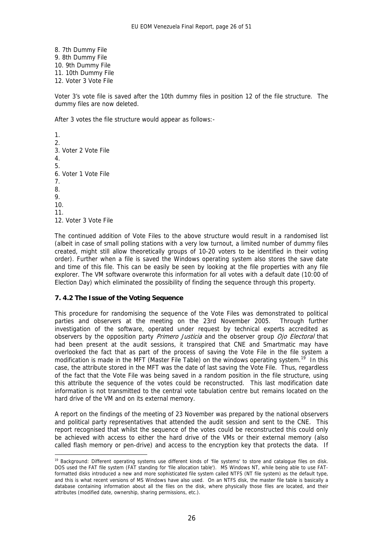8. 7th Dummy File 9. 8th Dummy File 10. 9th Dummy File 11. 10th Dummy File 12. Voter 3 Vote File

Voter 3's vote file is saved after the 10th dummy files in position 12 of the file structure. The dummy files are now deleted.

After 3 votes the file structure would appear as follows:-

1. 2. 3. Voter 2 Vote File 4. 5. 6. Voter 1 Vote File 7. 8. 9. 10. 11. 12. Voter 3 Vote File

<u>.</u>

The continued addition of Vote Files to the above structure would result in a randomised list (albeit in case of small polling stations with a very low turnout, a limited number of dummy files created, might still allow theoretically groups of 10-20 voters to be identified in their voting order). Further when a file is saved the Windows operating system also stores the save date and time of this file. This can be easily be seen by looking at the file properties with any file explorer. The VM software overwrote this information for all votes with a default date (10:00 of Election Day) which eliminated the possibility of finding the sequence through this property.

#### **7. 4.2 The Issue of the Voting Sequence**

This procedure for randomising the sequence of the Vote Files was demonstrated to political parties and observers at the meeting on the 23rd November 2005. Through further investigation of the software, operated under request by technical experts accredited as observers by the opposition party Primero Justicia and the observer group Ojo Electoral that had been present at the audit sessions, it transpired that CNE and Smartmatic may have overlooked the fact that as part of the process of saving the Vote File in the file system a modification is made in the MFT (Master File Table) on the windows operating system.<sup>[19](#page-26-0)</sup> In this case, the attribute stored in the MFT was the date of last saving the Vote File. Thus, regardless of the fact that the Vote File was being saved in a random position in the file structure, using this attribute the sequence of the votes could be reconstructed. This last modification date information is not transmitted to the central vote tabulation centre but remains located on the hard drive of the VM and on its external memory.

A report on the findings of the meeting of 23 November was prepared by the national observers and political party representatives that attended the audit session and sent to the CNE. This report recognised that whilst the sequence of the votes could be reconstructed this could only be achieved with access to either the hard drive of the VMs or their external memory (also called flash memory or pen-drive) and access to the encryption key that protects the data. If

<span id="page-26-0"></span><sup>&</sup>lt;sup>19</sup> Background: Different operating systems use different kinds of 'file systems' to store and catalogue files on disk. DOS used the FAT file system (FAT standing for 'file allocation table'). MS Windows NT, while being able to use FATformatted disks introduced a new and more sophisticated file system called NTFS (NT file system) as the default type, and this is what recent versions of MS Windows have also used. On an NTFS disk, the master file table is basically a database containing information about all the files on the disk, where physically those files are located, and their attributes (modified date, ownership, sharing permissions, etc.).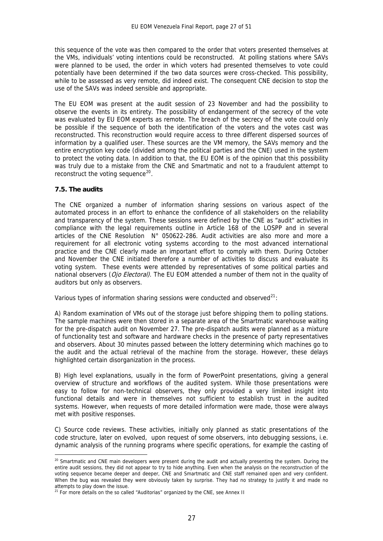this sequence of the vote was then compared to the order that voters presented themselves at the VMs, individuals' voting intentions could be reconstructed. At polling stations where SAVs were planned to be used, the order in which voters had presented themselves to vote could potentially have been determined if the two data sources were cross-checked. This possibility, while to be assessed as very remote, did indeed exist. The consequent CNE decision to stop the use of the SAVs was indeed sensible and appropriate.

The EU EOM was present at the audit session of 23 November and had the possibility to observe the events in its entirety. The possibility of endangerment of the secrecy of the vote was evaluated by EU EOM experts as remote. The breach of the secrecy of the vote could only be possible if the sequence of both the identification of the voters and the votes cast was reconstructed. This reconstruction would require access to three different dispersed sources of information by a qualified user. These sources are the VM memory, the SAVs memory and the entire encryption key code (divided among the political parties and the CNE) used in the system to protect the voting data. In addition to that, the EU EOM is of the opinion that this possibility was truly due to a mistake from the CNE and Smartmatic and not to a fraudulent attempt to reconstruct the voting sequence $^{20}$  $^{20}$  $^{20}$ .

#### **7.5. The audits**

<u>.</u>

The CNE organized a number of information sharing sessions on various aspect of the automated process in an effort to enhance the confidence of all stakeholders on the reliability and transparency of the system. These sessions were defined by the CNE as "audit" activities in compliance with the legal requirements outline in Article 168 of the LOSPP and in several articles of the CNE Resolution N° 050622-286. Audit activities are also more and more a requirement for all electronic voting systems according to the most advanced international practice and the CNE clearly made an important effort to comply with them. During October and November the CNE initiated therefore a number of activities to discuss and evaluate its voting system. These events were attended by representatives of some political parties and national observers (Ojo Electoral). The EU EOM attended a number of them not in the quality of auditors but only as observers.

Various types of information sharing sessions were conducted and observed<sup>[21](#page-27-1)</sup>:

A) Random examination of VMs out of the storage just before shipping them to polling stations. The sample machines were then stored in a separate area of the Smartmatic warehouse waiting for the pre-dispatch audit on November 27. The pre-dispatch audits were planned as a mixture of functionality test and software and hardware checks in the presence of party representatives and observers. About 30 minutes passed between the lottery determining which machines go to the audit and the actual retrieval of the machine from the storage. However, these delays highlighted certain disorganization in the process.

B) High level explanations, usually in the form of PowerPoint presentations, giving a general overview of structure and workflows of the audited system. While those presentations were easy to follow for non-technical observers, they only provided a very limited insight into functional details and were in themselves not sufficient to establish trust in the audited systems. However, when requests of more detailed information were made, those were always met with positive responses.

C) Source code reviews. These activities, initially only planned as static presentations of the code structure, later on evolved, upon request of some observers, into debugging sessions, i.e. dynamic analysis of the running programs where specific operations, for example the casting of

<span id="page-27-0"></span><sup>&</sup>lt;sup>20</sup> Smartmatic and CNE main developers were present during the audit and actually presenting the system. During the entire audit sessions, they did not appear to try to hide anything. Even when the analysis on the reconstruction of the voting sequence became deeper and deeper, CNE and Smartmatic and CNE staff remained open and very confident. When the bug was revealed they were obviously taken by surprise. They had no strategy to justify it and made no attempts to play down the issue.

<span id="page-27-1"></span> $21$  For more details on the so called "Auditorias" organized by the CNE, see Annex II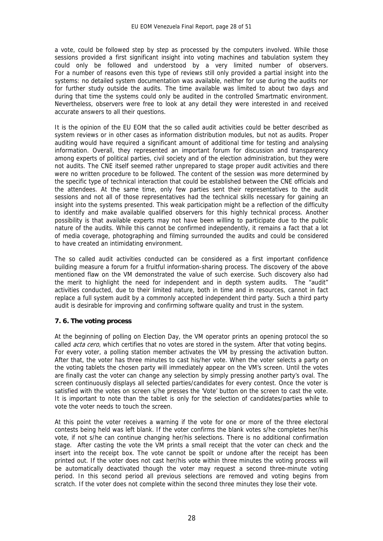a vote, could be followed step by step as processed by the computers involved. While those sessions provided a first significant insight into voting machines and tabulation system they could only be followed and understood by a very limited number of observers. For a number of reasons even this type of reviews still only provided a partial insight into the systems: no detailed system documentation was available, neither for use during the audits nor for further study outside the audits. The time available was limited to about two days and during that time the systems could only be audited in the controlled Smartmatic environment. Nevertheless, observers were free to look at any detail they were interested in and received accurate answers to all their questions.

It is the opinion of the EU EOM that the so called audit activities could be better described as system reviews or in other cases as information distribution modules, but not as audits. Proper auditing would have required a significant amount of additional time for testing and analysing information. Overall, they represented an important forum for discussion and transparency among experts of political parties, civil society and of the election administration, but they were not audits. The CNE itself seemed rather unprepared to stage proper audit activities and there were no written procedure to be followed. The content of the session was more determined by the specific type of technical interaction that could be established between the CNE officials and the attendees. At the same time, only few parties sent their representatives to the audit sessions and not all of those representatives had the technical skills necessary for gaining an insight into the systems presented. This weak participation might be a reflection of the difficulty to identify and make available qualified observers for this highly technical process. Another possibility is that available experts may not have been willing to participate due to the public nature of the audits. While this cannot be confirmed independently, it remains a fact that a lot of media coverage, photographing and filming surrounded the audits and could be considered to have created an intimidating environment.

The so called audit activities conducted can be considered as a first important confidence building measure a forum for a fruitful information-sharing process. The discovery of the above mentioned flaw on the VM demonstrated the value of such exercise. Such discovery also had the merit to highlight the need for independent and in depth system audits. The "audit" activities conducted, due to their limited nature, both in time and in resources, cannot in fact replace a full system audit by a commonly accepted independent third party. Such a third party audit is desirable for improving and confirming software quality and trust in the system.

#### **7. 6. The voting process**

At the beginning of polling on Election Day, the VM operator prints an opening protocol the so called *acta cero*, which certifies that no votes are stored in the system. After that voting begins. For every voter, a polling station member activates the VM by pressing the activation button. After that, the voter has three minutes to cast his/her vote. When the voter selects a party on the voting tablets the chosen party will immediately appear on the VM's screen. Until the votes are finally cast the voter can change any selection by simply pressing another party's oval. The screen continuously displays all selected parties/candidates for every contest. Once the voter is satisfied with the votes on screen s/he presses the 'Vote' button on the screen to cast the vote. It is important to note than the tablet is only for the selection of candidates/parties while to vote the voter needs to touch the screen.

At this point the voter receives a warning if the vote for one or more of the three electoral contests being held was left blank. If the voter confirms the blank votes s/he completes her/his vote, if not s/he can continue changing her/his selections. There is no additional confirmation stage. After casting the vote the VM prints a small receipt that the voter can check and the insert into the receipt box. The vote cannot be spoilt or undone after the receipt has been printed out. If the voter does not cast her/his vote within three minutes the voting process will be automatically deactivated though the voter may request a second three-minute voting period. In this second period all previous selections are removed and voting begins from scratch. If the voter does not complete within the second three minutes they lose their vote.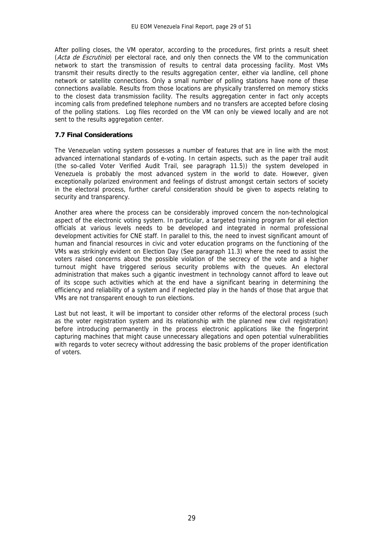After polling closes, the VM operator, according to the procedures, first prints a result sheet (Acta de Escrutinio) per electoral race, and only then connects the VM to the communication network to start the transmission of results to central data processing facility. Most VMs transmit their results directly to the results aggregation center, either via landline, cell phone network or satellite connections. Only a small number of polling stations have none of these connections available. Results from those locations are physically transferred on memory sticks to the closest data transmission facility. The results aggregation center in fact only accepts incoming calls from predefined telephone numbers and no transfers are accepted before closing of the polling stations. Log files recorded on the VM can only be viewed locally and are not sent to the results aggregation center.

#### **7.7 Final Considerations**

The Venezuelan voting system possesses a number of features that are in line with the most advanced international standards of e-voting. In certain aspects, such as the paper trail audit (the so-called Voter Verified Audit Trail, see paragraph 11.5)) the system developed in Venezuela is probably the most advanced system in the world to date. However, given exceptionally polarized environment and feelings of distrust amongst certain sectors of society in the electoral process, further careful consideration should be given to aspects relating to security and transparency.

Another area where the process can be considerably improved concern the non-technological aspect of the electronic voting system. In particular, a targeted training program for all election officials at various levels needs to be developed and integrated in normal professional development activities for CNE staff. In parallel to this, the need to invest significant amount of human and financial resources in civic and voter education programs on the functioning of the VMs was strikingly evident on Election Day (See paragraph 11.3) where the need to assist the voters raised concerns about the possible violation of the secrecy of the vote and a higher turnout might have triggered serious security problems with the queues. An electoral administration that makes such a gigantic investment in technology cannot afford to leave out of its scope such activities which at the end have a significant bearing in determining the efficiency and reliability of a system and if neglected play in the hands of those that argue that VMs are not transparent enough to run elections.

Last but not least, it will be important to consider other reforms of the electoral process (such as the voter registration system and its relationship with the planned new civil registration) before introducing permanently in the process electronic applications like the fingerprint capturing machines that might cause unnecessary allegations and open potential vulnerabilities with regards to voter secrecy without addressing the basic problems of the proper identification of voters.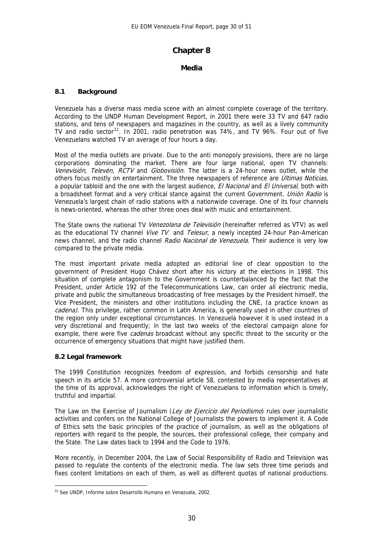#### **Chapter 8**

#### **Media**

#### **8.1 Background**

Venezuela has a diverse mass media scene with an almost complete coverage of the territory. According to the UNDP Human Development Report, in 2001 there were 33 TV and 647 radio stations, and tens of newspapers and magazines in the country, as well as a lively community TV and radio sector<sup>[22](#page-30-0)</sup>. In 2001, radio penetration was 74%, and TV 96%. Four out of five Venezuelans watched TV an average of four hours a day.

Most of the media outlets are private. Due to the anti monopoly provisions, there are no large corporations dominating the market. There are four large national, open TV channels: Venevisión, Televén, RCTV and Globovisión. The latter is a 24-hour news outlet, while the others focus mostly on entertainment. The three newspapers of reference are *Últimas Noticias*, a popular tabloid and the one with the largest audience, El Nacional and El Universal, both with a broadsheet format and a very critical stance against the current Government. Unión Radio is Venezuela's largest chain of radio stations with a nationwide coverage. One of its four channels is news-oriented, whereas the other three ones deal with music and entertainment.

The State owns the national TV Venezolana de Televisión (hereinafter referred as VTV) as well as the educational TV channel Vive TV and Telesur, a newly incepted 24-hour Pan-American news channel, and the radio channel Radio Nacional de Venezuela. Their audience is very low compared to the private media.

The most important private media adopted an editorial line of clear opposition to the government of President Hugo Chávez short after his victory at the elections in 1998. This situation of complete antagonism to the Government is counterbalanced by the fact that the President, under Article 192 of the Telecommunications Law, can order all electronic media, private and public the simultaneous broadcasting of free messages by the President himself, the Vice President, the ministers and other institutions including the CNE, (a practice known as cadena). This privilege, rather common in Latin America, is generally used in other countries of the region only under exceptional circumstances. In Venezuela however it is used instead in a very discretional and frequently; in the last two weeks of the electoral campaign alone for example, there were five *cadenas* broadcast without any specific threat to the security or the occurrence of emergency situations that might have justified them.

#### **8.2 Legal framework**

The 1999 Constitution recognizes freedom of expression, and forbids censorship and hate speech in its article 57. A more controversial article 58, contested by media representatives at the time of its approval, acknowledges the right of Venezuelans to information which is timely, truthful and impartial.

The Law on the Exercise of Journalism (Ley de Ejercicio del Periodismo) rules over journalistic activities and confers on the National College of Journalists the powers to implement it. A Code of Ethics sets the basic principles of the practice of journalism, as well as the obligations of reporters with regard to the people, the sources, their professional college, their company and the State. The Law dates back to 1994 and the Code to 1976.

More recently, in December 2004, the Law of Social Responsibility of Radio and Television was passed to regulate the contents of the electronic media. The law sets three time periods and fixes content limitations on each of them, as well as different quotas of national productions.

<span id="page-30-0"></span><sup>1</sup> 22 See UNDP, Informe sobre Desarrollo Humano en Venezuela, 2002.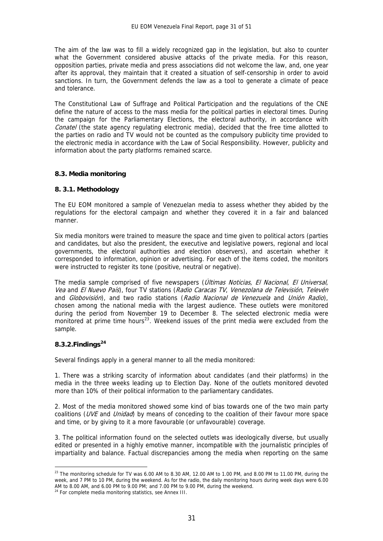The aim of the law was to fill a widely recognized gap in the legislation, but also to counter what the Government considered abusive attacks of the private media. For this reason, opposition parties, private media and press associations did not welcome the law, and, one year after its approval, they maintain that it created a situation of self-censorship in order to avoid sanctions. In turn, the Government defends the law as a tool to generate a climate of peace and tolerance.

The Constitutional Law of Suffrage and Political Participation and the regulations of the CNE define the nature of access to the mass media for the political parties in electoral times. During the campaign for the Parliamentary Elections, the electoral authority, in accordance with Conatel (the state agency regulating electronic media), decided that the free time allotted to the parties on radio and TV would not be counted as the compulsory publicity time provided to the electronic media in accordance with the Law of Social Responsibility. However, publicity and information about the party platforms remained scarce.

#### **8.3. Media monitoring**

#### **8. 3.1. Methodology**

The EU EOM monitored a sample of Venezuelan media to assess whether they abided by the regulations for the electoral campaign and whether they covered it in a fair and balanced manner.

Six media monitors were trained to measure the space and time given to political actors (parties and candidates, but also the president, the executive and legislative powers, regional and local governments, the electoral authorities and election observers), and ascertain whether it corresponded to information, opinion or advertising. For each of the items coded, the monitors were instructed to register its tone (positive, neutral or negative).

The media sample comprised of five newspapers (Últimas Noticias, El Nacional, El Universal, Vea and El Nuevo País), four TV stations (Radio Caracas TV, Venezolana de Televisión, Televén and Globovisión), and two radio stations (Radio Nacional de Venezuela and Unión Radio), chosen among the national media with the largest audience. These outlets were monitored during the period from November 19 to December 8. The selected electronic media were monitored at prime time hours<sup>[23](#page-31-0)</sup>. Weekend issues of the print media were excluded from the sample.

#### **8.3.2.Findings[24](#page-31-1)**

Several findings apply in a general manner to all the media monitored:

1. There was a striking scarcity of information about candidates (and their platforms) in the media in the three weeks leading up to Election Day. None of the outlets monitored devoted more than 10% of their political information to the parliamentary candidates.

2. Most of the media monitored showed some kind of bias towards one of the two main party coalitions (UVE and Unidad) by means of conceding to the coalition of their favour more space and time, or by giving to it a more favourable (or unfavourable) coverage.

3. The political information found on the selected outlets was ideologically diverse, but usually edited or presented in a highly emotive manner, incompatible with the journalistic principles of impartiality and balance. Factual discrepancies among the media when reporting on the same

<span id="page-31-0"></span><sup>1</sup>  $^{23}$  The monitoring schedule for TV was 6.00 AM to 8.30 AM, 12.00 AM to 1.00 PM, and 8.00 PM to 11.00 PM, during the week, and 7 PM to 10 PM, during the weekend. As for the radio, the daily monitoring hours during week days were 6.00 AM to 8.00 AM, and 6.00 PM to 9.00 PM; and 7.00 PM to 9.00 PM, during the weekend. <sup>24</sup> For complete media monitoring statistics, see Annex III.

<span id="page-31-1"></span>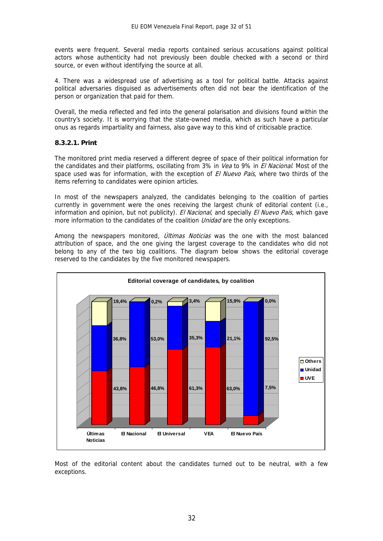events were frequent. Several media reports contained serious accusations against political actors whose authenticity had not previously been double checked with a second or third source, or even without identifying the source at all.

4. There was a widespread use of advertising as a tool for political battle. Attacks against political adversaries disguised as advertisements often did not bear the identification of the person or organization that paid for them.

Overall, the media reflected and fed into the general polarisation and divisions found within the country's society. It is worrying that the state-owned media, which as such have a particular onus as regards impartiality and fairness, also gave way to this kind of criticisable practice.

#### **8.3.2.1. Print**

The monitored print media reserved a different degree of space of their political information for the candidates and their platforms, oscillating from 3% in Vea to 9% in El Nacional. Most of the space used was for information, with the exception of El Nuevo País, where two thirds of the items referring to candidates were opinion articles.

In most of the newspapers analyzed, the candidates belonging to the coalition of parties currently in government were the ones receiving the largest chunk of editorial content (i.e., information and opinion, but not publicity). El Nacional, and specially El Nuevo País, which gave more information to the candidates of the coalition *Unidad* are the only exceptions.

Among the newspapers monitored, *Últimas Noticias* was the one with the most balanced attribution of space, and the one giving the largest coverage to the candidates who did not belong to any of the two big coalitions. The diagram below shows the editorial coverage reserved to the candidates by the five monitored newspapers.



Most of the editorial content about the candidates turned out to be neutral, with a few exceptions.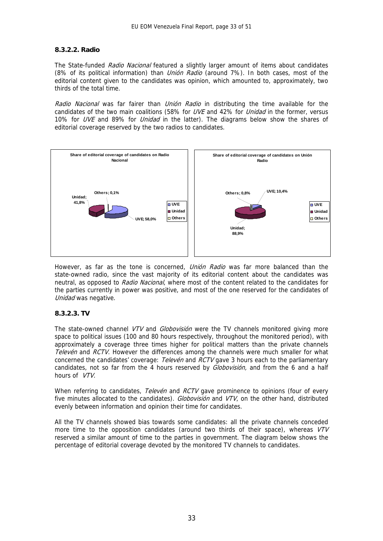#### **8.3.2.2. Radio**

The State-funded Radio Nacional featured a slightly larger amount of items about candidates (8% of its political information) than *Unión Radio* (around 7%). In both cases, most of the editorial content given to the candidates was opinion, which amounted to, approximately, two thirds of the total time.

Radio Nacional was far fairer than Unión Radio in distributing the time available for the candidates of the two main coalitions (58% for UVE and 42% for Unidad in the former, versus 10% for UVE and 89% for Unidad in the latter). The diagrams below show the shares of editorial coverage reserved by the two radios to candidates.



However, as far as the tone is concerned, *Unión Radio* was far more balanced than the state-owned radio, since the vast majority of its editorial content about the candidates was neutral, as opposed to Radio Nacional, where most of the content related to the candidates for the parties currently in power was positive, and most of the one reserved for the candidates of Unidad was negative.

#### **8.3.2.3. TV**

The state-owned channel VTV and Globovisión were the TV channels monitored giving more space to political issues (100 and 80 hours respectively, throughout the monitored period), with approximately a coverage three times higher for political matters than the private channels Televén and RCTV. However the differences among the channels were much smaller for what concerned the candidates' coverage: Televén and RCTV gave 3 hours each to the parliamentary candidates, not so far from the 4 hours reserved by *Globovisión*, and from the 6 and a half hours of VTV.

When referring to candidates, *Televén* and *RCTV* gave prominence to opinions (four of every five minutes allocated to the candidates). *Globovisión* and VTV on the other hand, distributed evenly between information and opinion their time for candidates.

All the TV channels showed bias towards some candidates: all the private channels conceded more time to the opposition candidates (around two thirds of their space), whereas VTV reserved a similar amount of time to the parties in government. The diagram below shows the percentage of editorial coverage devoted by the monitored TV channels to candidates.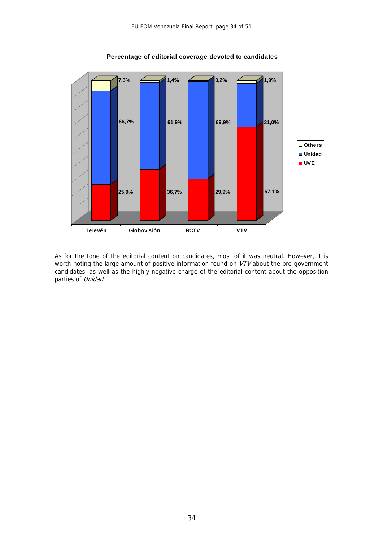

As for the tone of the editorial content on candidates, most of it was neutral. However, it is worth noting the large amount of positive information found on VTV about the pro-government candidates, as well as the highly negative charge of the editorial content about the opposition parties of Unidad.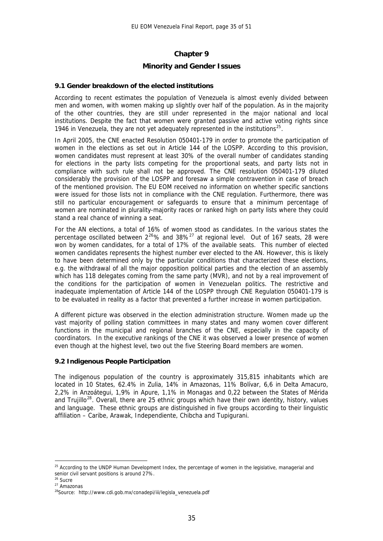#### **Chapter 9**

#### **Minority and Gender Issues**

#### **9.1 Gender breakdown of the elected institutions**

According to recent estimates the population of Venezuela is almost evenly divided between men and women, with women making up slightly over half of the population. As in the majority of the other countries, they are still under represented in the major national and local institutions. Despite the fact that women were granted passive and active voting rights since 1946 in Venezuela, they are not yet adequately represented in the institutions<sup>[25](#page-35-0)</sup>.

In April 2005, the CNE enacted Resolution 050401-179 in order to promote the participation of women in the elections as set out in Article 144 of the LOSPP. According to this provision, women candidates must represent at least 30% of the overall number of candidates standing for elections in the party lists competing for the proportional seats, and party lists not in compliance with such rule shall not be approved. The CNE resolution 050401-179 diluted considerably the provision of the LOSPP and foresaw a simple contravention in case of breach of the mentioned provision. The EU EOM received no information on whether specific sanctions were issued for those lists not in compliance with the CNE regulation. Furthermore, there was still no particular encouragement or safeguards to ensure that a minimum percentage of women are nominated in plurality-majority races or ranked high on party lists where they could stand a real chance of winning a seat.

For the AN elections, a total of 16% of women stood as candidates. In the various states the percentage oscillated between  $2^{26}$  $2^{26}$  $2^{26}$ % and  $38\%^{27}$  $38\%^{27}$  $38\%^{27}$  at regional level. Out of 167 seats, 28 were won by women candidates, for a total of 17% of the available seats. This number of elected women candidates represents the highest number ever elected to the AN. However, this is likely to have been determined only by the particular conditions that characterized these elections, e.g. the withdrawal of all the major opposition political parties and the election of an assembly which has 118 delegates coming from the same party (MVR), and not by a real improvement of the conditions for the participation of women in Venezuelan politics. The restrictive and inadequate implementation of Article 144 of the LOSPP through CNE Regulation 050401-179 is to be evaluated in reality as a factor that prevented a further increase in women participation.

A different picture was observed in the election administration structure. Women made up the vast majority of polling station committees in many states and many women cover different functions in the municipal and regional branches of the CNE, especially in the capacity of coordinators. In the executive rankings of the CNE it was observed a lower presence of women even though at the highest level, two out the five Steering Board members are women.

#### **9.2 Indigenous People Participation**

The indigenous population of the country is approximately 315,815 inhabitants which are located in 10 States, 62.4% in Zulia, 14% in Amazonas, 11% Bolívar, 6,6 in Delta Amacuro, 2,2% in Anzoátegui, 1,9% in Apure, 1,1% in Monagas and 0,22 between the States of Mérida and Trujillo<sup>[28](#page-35-3)</sup>. Overall, there are 25 ethnic groups which have their own identity, history, values and language. These ethnic groups are distinguished in five groups according to their linguistic affiliation – Caribe, Arawak, Independiente, Chibcha and Tupigurani.

1

<span id="page-35-0"></span><sup>&</sup>lt;sup>25</sup> According to the UNDP Human Development Index, the percentage of women in the legislative, managerial and senior civil servant positions is around 27%.

<span id="page-35-2"></span><span id="page-35-1"></span> $26$  Sucre

<sup>27</sup> Amazonas

<span id="page-35-3"></span><sup>28</sup>Source: http://www.cdi.gob.mx/conadepi/iii/legisla\_venezuela.pdf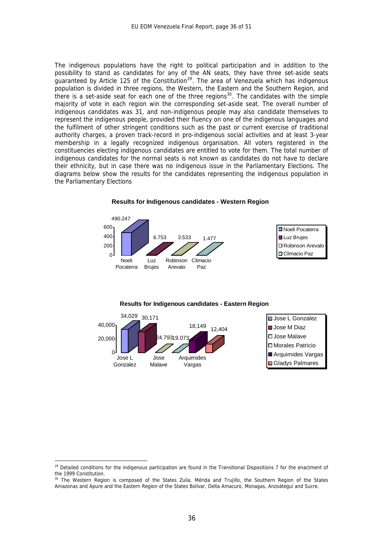The indigenous populations have the right to political participation and in addition to the possibility to stand as candidates for any of the AN seats, they have three set-aside seats guaranteed by Article 125 of the Constitution<sup>[29](#page-36-0)</sup>. The area of Venezuela which has indigenous population is divided in three regions, the Western, the Eastern and the Southern Region, and there is a set-aside seat for each one of the three regions<sup>[30](#page-36-1)</sup>. The candidates with the simple majority of vote in each region win the corresponding set-aside seat. The overall number of indigenous candidates was 31, and non-indigenous people may also candidate themselves to represent the indigenous people, provided their fluency on one of the indigenous languages and the fulfilment of other stringent conditions such as the past or current exercise of traditional authority charges, a proven track-record in pro-indigenous social activities and at least 3-year membership in a legally recognized indigenous organisation. All voters registered in the constituencies electing indigenous candidates are entitled to vote for them. The total number of indigenous candidates for the normal seats is not known as candidates do not have to declare their ethnicity, but in case there was no indigenous issue in the Parliamentary Elections. The diagrams below show the results for the candidates representing the indigenous population in the Parliamentary Elections



#### **Results for Indigenous candidates - Western Region**

#### **Results for Indigenous candidates - Eastern Region**



1

<span id="page-36-0"></span><sup>&</sup>lt;sup>29</sup> Detailed conditions for the indigenous participation are found in the Transitional Dispositions 7 for the enactment of the 1999 Constitution.

<span id="page-36-1"></span><sup>&</sup>lt;sup>30</sup> The Western Region is composed of the States Zulia, Mérida and Truilllo, the Southern Region of the States Amazonas and Apure and the Eastern Region of the States Bolívar, Delta Amacuro, Monagas, Anzoátegui and Sucre.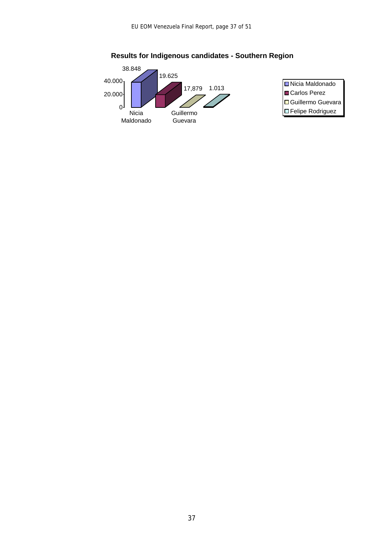



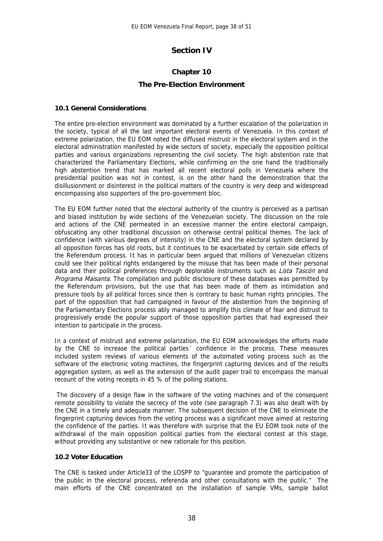#### **Section IV**

#### **Chapter 10**

#### **The Pre-Election Environment**

#### **10.1 General Considerations**

The entire pre-election environment was dominated by a further escalation of the polarization in the society, typical of all the last important electoral events of Venezuela. In this context of extreme polarization, the EU EOM noted the diffused mistrust in the electoral system and in the electoral administration manifested by wide sectors of society, especially the opposition political parties and various organizations representing the civil society. The high abstention rate that characterized the Parliamentary Elections, while confirming on the one hand the traditionally high abstention trend that has marked all recent electoral polls in Venezuela where the presidential position was not in contest, is on the other hand the demonstration that the disillusionment or disinterest in the political matters of the country is very deep and widespread encompassing also supporters of the pro-government bloc.

The EU EOM further noted that the electoral authority of the country is perceived as a partisan and biased institution by wide sections of the Venezuelan society. The discussion on the role and actions of the CNE permeated in an excessive manner the entire electoral campaign, obfuscating any other traditional discussion on otherwise central political themes. The lack of confidence (with various degrees of intensity) in the CNE and the electoral system declared by all opposition forces has old roots, but it continues to be exacerbated by certain side effects of the Referendum process. It has in particular been argued that millions of Venezuelan citizens could see their political rights endangered by the misuse that has been made of their personal data and their political preferences through deplorable instruments such as *Lista Tascón* and Programa Maisanta. The compilation and public disclosure of these databases was permitted by the Referendum provisions, but the use that has been made of them as intimidation and pressure tools by all political forces since then is contrary to basic human rights principles. The part of the opposition that had campaigned in favour of the abstention from the beginning of the Parliamentary Elections process ably managed to amplify this climate of fear and distrust to progressively erode the popular support of those opposition parties that had expressed their intention to participate in the process.

In a context of mistrust and extreme polarization, the EU EOM acknowledges the efforts made by the CNE to increase the political parties´ confidence in the process. These measures included system reviews of various elements of the automated voting process such as the software of the electronic voting machines, the fingerprint capturing devices and of the results aggregation system, as well as the extension of the audit paper trail to encompass the manual recount of the voting receipts in 45 % of the polling stations.

 The discovery of a design flaw in the software of the voting machines and of the consequent remote possibility to violate the secrecy of the vote (see paragraph 7.3) was also dealt with by the CNE in a timely and adequate manner. The subsequent decision of the CNE to eliminate the fingerprint capturing devices from the voting process was a significant move aimed at restoring the confidence of the parties. It was therefore with surprise that the EU EOM took note of the withdrawal of the main opposition political parties from the electoral contest at this stage, without providing any substantive or new rationale for this position.

#### **10.2 Voter Education**

The CNE is tasked under Article33 of the LOSPP to "guarantee and promote the participation of the public in the electoral process, referenda and other consultations with the public." The main efforts of the CNE concentrated on the installation of sample VMs, sample ballot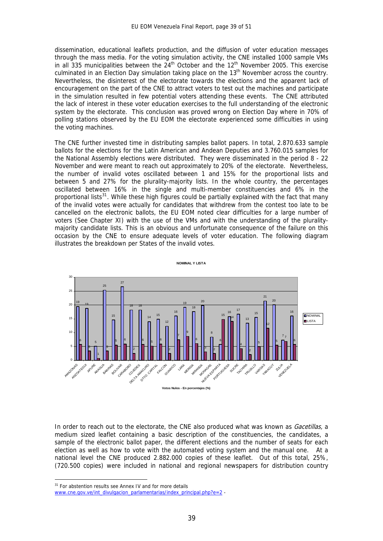dissemination, educational leaflets production, and the diffusion of voter education messages through the mass media. For the voting simulation activity, the CNE installed 1000 sample VMs in all 335 municipalities between the 24<sup>th</sup> October and the 12<sup>th</sup> November 2005. This exercise culminated in an Election Day simulation taking place on the 13<sup>th</sup> November across the country. Nevertheless, the disinterest of the electorate towards the elections and the apparent lack of encouragement on the part of the CNE to attract voters to test out the machines and participate in the simulation resulted in few potential voters attending these events. The CNE attributed the lack of interest in these voter education exercises to the full understanding of the electronic system by the electorate. This conclusion was proved wrong on Election Day where in 70% of polling stations observed by the EU EOM the electorate experienced some difficulties in using the voting machines.

The CNE further invested time in distributing samples ballot papers. In total, 2.870.633 sample ballots for the elections for the Latin American and Andean Deputies and 3.760.015 samples for the National Assembly elections were distributed. They were disseminated in the period 8 - 22 November and were meant to reach out approximately to 20% of the electorate. Nevertheless, the number of invalid votes oscillated between 1 and 15% for the proportional lists and between 5 and 27% for the plurality-majority lists. In the whole country, the percentages oscillated between 16% in the single and multi-member constituencies and 6% in the proportional lists $31$ . While these high figures could be partially explained with the fact that many of the invalid votes were actually for candidates that withdrew from the contest too late to be cancelled on the electronic ballots, the EU EOM noted clear difficulties for a large number of voters (See Chapter XI) with the use of the VMs and with the understanding of the pluralitymajority candidate lists. This is an obvious and unfortunate consequence of the failure on this occasion by the CNE to ensure adequate levels of voter education. The following diagram illustrates the breakdown per States of the invalid votes.



In order to reach out to the electorate, the CNE also produced what was known as *Gacetillas*, a medium sized leaflet containing a basic description of the constituencies, the candidates, a sample of the electronic ballot paper, the different elections and the number of seats for each election as well as how to vote with the automated voting system and the manual one. At a national level the CNE produced 2.882.000 copies of these leaflet. Out of this total, 25%, (720.500 copies) were included in national and regional newspapers for distribution country

<u>.</u>

<sup>&</sup>lt;sup>31</sup> For abstention results see Annex IV and for more details

<span id="page-39-0"></span>[www.cne.gov.ve/int\\_divulgacion\\_parlamentarias/index\\_principal.php?e=2](http://www.cne.gov.ve/int_divulgacion_parlamentarias/index_principal.php?e=2) -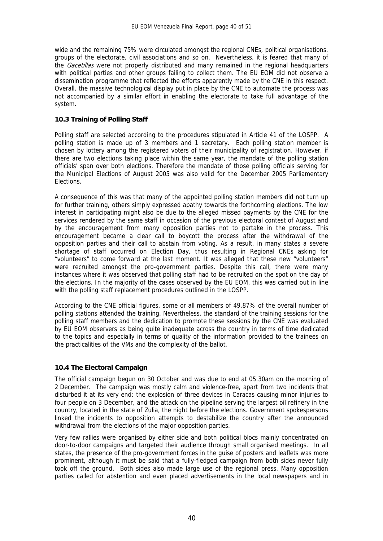wide and the remaining 75% were circulated amongst the regional CNEs, political organisations, groups of the electorate, civil associations and so on. Nevertheless, it is feared that many of the *Gacetillas* were not properly distributed and many remained in the regional headquarters with political parties and other groups failing to collect them. The EU EOM did not observe a dissemination programme that reflected the efforts apparently made by the CNE in this respect. Overall, the massive technological display put in place by the CNE to automate the process was not accompanied by a similar effort in enabling the electorate to take full advantage of the system.

#### **10.3 Training of Polling Staff**

Polling staff are selected according to the procedures stipulated in Article 41 of the LOSPP. A polling station is made up of 3 members and 1 secretary. Each polling station member is chosen by lottery among the registered voters of their municipality of registration. However, if there are two elections taking place within the same year, the mandate of the polling station officials' span over both elections. Therefore the mandate of those polling officials serving for the Municipal Elections of August 2005 was also valid for the December 2005 Parliamentary Elections.

A consequence of this was that many of the appointed polling station members did not turn up for further training, others simply expressed apathy towards the forthcoming elections. The low interest in participating might also be due to the alleged missed payments by the CNE for the services rendered by the same staff in occasion of the previous electoral contest of August and by the encouragement from many opposition parties not to partake in the process. This encouragement became a clear call to boycott the process after the withdrawal of the opposition parties and their call to abstain from voting. As a result, in many states a severe shortage of staff occurred on Election Day, thus resulting in Regional CNEs asking for "volunteers" to come forward at the last moment. It was alleged that these new "volunteers" were recruited amongst the pro-government parties. Despite this call, there were many instances where it was observed that polling staff had to be recruited on the spot on the day of the elections. In the majority of the cases observed by the EU EOM, this was carried out in line with the polling staff replacement procedures outlined in the LOSPP.

According to the CNE official figures, some or all members of 49.87% of the overall number of polling stations attended the training. Nevertheless, the standard of the training sessions for the polling staff members and the dedication to promote these sessions by the CNE was evaluated by EU EOM observers as being quite inadequate across the country in terms of time dedicated to the topics and especially in terms of quality of the information provided to the trainees on the practicalities of the VMs and the complexity of the ballot.

#### **10.4 The Electoral Campaign**

The official campaign begun on 30 October and was due to end at 05.30am on the morning of 2 December. The campaign was mostly calm and violence-free, apart from two incidents that disturbed it at its very end: the explosion of three devices in Caracas causing minor injuries to four people on 3 December, and the attack on the pipeline serving the largest oil refinery in the country, located in the state of Zulia, the night before the elections. Government spokespersons linked the incidents to opposition attempts to destabilize the country after the announced withdrawal from the elections of the major opposition parties.

Very few rallies were organised by either side and both political blocs mainly concentrated on door-to-door campaigns and targeted their audience through small organised meetings. In all states, the presence of the pro-government forces in the guise of posters and leaflets was more prominent, although it must be said that a fully-fledged campaign from both sides never fully took off the ground. Both sides also made large use of the regional press. Many opposition parties called for abstention and even placed advertisements in the local newspapers and in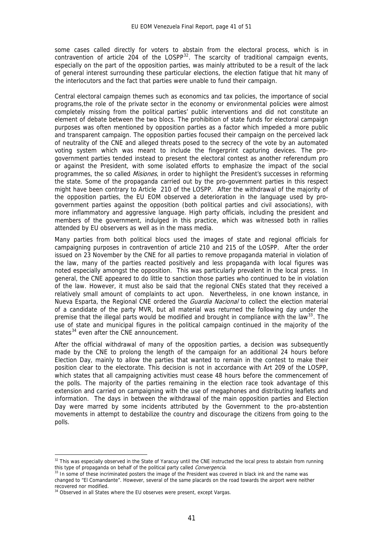some cases called directly for voters to abstain from the electoral process, which is in contravention of article 204 of the LOSPP $32$ . The scarcity of traditional campaign events, especially on the part of the opposition parties, was mainly attributed to be a result of the lack of general interest surrounding these particular elections, the election fatigue that hit many of the interlocutors and the fact that parties were unable to fund their campaign.

Central electoral campaign themes such as economics and tax policies, the importance of social programs,the role of the private sector in the economy or environmental policies were almost completely missing from the political parties' public interventions and did not constitute an element of debate between the two blocs. The prohibition of state funds for electoral campaign purposes was often mentioned by opposition parties as a factor which impeded a more public and transparent campaign. The opposition parties focused their campaign on the perceived lack of neutrality of the CNE and alleged threats posed to the secrecy of the vote by an automated voting system which was meant to include the fingerprint capturing devices. The progovernment parties tended instead to present the electoral contest as another referendum pro or against the President, with some isolated efforts to emphasize the impact of the social programmes, the so called *Misiones*, in order to highlight the President's successes in reforming the state. Some of the propaganda carried out by the pro-government parties in this respect might have been contrary to Article 210 of the LOSPP. After the withdrawal of the majority of the opposition parties, the EU EOM observed a deterioration in the language used by progovernment parties against the opposition (both political parties and civil associations), with more inflammatory and aggressive language. High party officials, including the president and members of the government, indulged in this practice, which was witnessed both in rallies attended by EU observers as well as in the mass media.

Many parties from both political blocs used the images of state and regional officials for campaigning purposes in contravention of article 210 and 215 of the LOSPP. After the order issued on 23 November by the CNE for all parties to remove propaganda material in violation of the law, many of the parties reacted positively and less propaganda with local figures was noted especially amongst the opposition. This was particularly prevalent in the local press. In general, the CNE appeared to do little to sanction those parties who continued to be in violation of the law. However, it must also be said that the regional CNEs stated that they received a relatively small amount of complaints to act upon. Nevertheless, in one known instance, in Nueva Esparta, the Regional CNE ordered the *Guardia Nacional* to collect the election material of a candidate of the party MVR, but all material was returned the following day under the premise that the illegal parts would be modified and brought in compliance with the law<sup>[33](#page-41-1)</sup>. The use of state and municipal figures in the political campaign continued in the majority of the states<sup>[34](#page-41-2)</sup> even after the CNE announcement.

After the official withdrawal of many of the opposition parties, a decision was subsequently made by the CNE to prolong the length of the campaign for an additional 24 hours before Election Day, mainly to allow the parties that wanted to remain in the contest to make their position clear to the electorate. This decision is not in accordance with Art 209 of the LOSPP, which states that all campaigning activities must cease 48 hours before the commencement of the polls. The majority of the parties remaining in the election race took advantage of this extension and carried on campaigning with the use of megaphones and distributing leaflets and information. The days in between the withdrawal of the main opposition parties and Election Day were marred by some incidents attributed by the Government to the pro-abstention movements in attempt to destabilize the country and discourage the citizens from going to the polls.

<u>.</u>

<span id="page-41-0"></span><sup>32</sup> This was especially observed in the State of Yaracuy until the CNE instructed the local press to abstain from running this type of propaganda on behalf of the political party called *Convergencia*.<br><sup>33</sup> In some of these incriminated posters the image of the President was covered in black ink and the name was

<span id="page-41-1"></span>changed to "El Comandante". However, several of the same placards on the road towards the airport were neither recovered nor modified.

<span id="page-41-2"></span><sup>&</sup>lt;sup>34</sup> Observed in all States where the EU observes were present, except Vargas.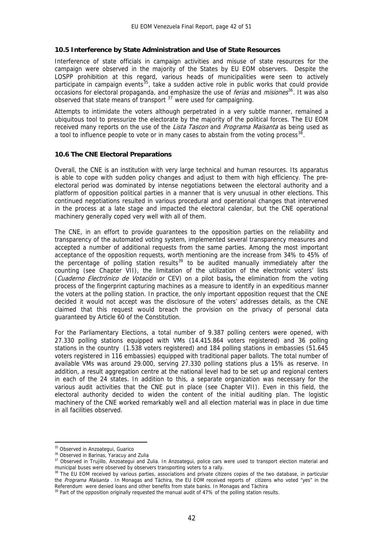#### **10.5 Interference by State Administration and Use of State Resources**

Interference of state officials in campaign activities and misuse of state resources for the campaign were observed in the majority of the States by EU EOM observers. Despite the LOSPP prohibition at this regard, various heads of municipalities were seen to actively participate in campaign events<sup>[35](#page-42-0)</sup>, take a sudden active role in public works that could provide occasions for electoral propaganda, and emphasize the use of *ferias* and *misiones*<sup>[36](#page-42-1)</sup>. It was also observed that state means of transport  $37$  were used for campaigning.

Attempts to intimidate the voters although perpetrated in a very subtle manner, remained a ubiquitous tool to pressurize the electorate by the majority of the political forces. The EU EOM received many reports on the use of the Lista Tascon and Programa Maisanta as being used as a tool to influence people to vote or in many cases to abstain from the voting process<sup>[38](#page-42-3)</sup>.

#### **10.6 The CNE Electoral Preparations**

Overall, the CNE is an institution with very large technical and human resources. Its apparatus is able to cope with sudden policy changes and adjust to them with high efficiency. The preelectoral period was dominated by intense negotiations between the electoral authority and a platform of opposition political parties in a manner that is very unusual in other elections. This continued negotiations resulted in various procedural and operational changes that intervened in the process at a late stage and impacted the electoral calendar, but the CNE operational machinery generally coped very well with all of them.

The CNE, in an effort to provide guarantees to the opposition parties on the reliability and transparency of the automated voting system, implemented several transparency measures and accepted a number of additional requests from the same parties. Among the most important acceptance of the opposition requests, worth mentioning are the increase from 34% to 45% of the percentage of polling station results<sup>[39](#page-42-4)</sup> to be audited manually immediately after the counting (see Chapter VII), the limitation of the utilization of the electronic voters' lists (Cuaderno Electrónico de Votación or CEV) on a pilot basis**,** the elimination from the voting process of the fingerprint capturing machines as a measure to identify in an expeditious manner the voters at the polling station. In practice, the only important opposition request that the CNE decided it would not accept was the disclosure of the voters' addresses details, as the CNE claimed that this request would breach the provision on the privacy of personal data guaranteed by Article 60 of the Constitution.

For the Parliamentary Elections, a total number of 9.387 polling centers were opened, with 27.330 polling stations equipped with VMs (14.415.864 voters registered) and 36 polling stations in the country (1.538 voters registered) and 184 polling stations in embassies (51.645 voters registered in 116 embassies) equipped with traditional paper ballots. The total number of available VMs was around 29.000, serving 27.330 polling stations plus a 15% as reserve. In addition, a result aggregation centre at the national level had to be set up and regional centers in each of the 24 states. In addition to this, a separate organization was necessary for the various audit activities that the CNE put in place (see Chapter VII). Even in this field, the electoral authority decided to widen the content of the initial auditing plan. The logistic machinery of the CNE worked remarkably well and all election material was in place in due time in all facilities observed.

1

<span id="page-42-0"></span><sup>&</sup>lt;sup>35</sup> Observed in Anzoategui, Guarico

<sup>&</sup>lt;sup>36</sup> Observed in Barinas, Yaracuy and Zulia

<span id="page-42-2"></span><span id="page-42-1"></span><sup>37</sup> Observed in Trujillo, Anzoategui and Zulia. In Anzoategui, police cars were used to transport election material and municipal buses were observed by observers transporting voters to a rally.

<span id="page-42-3"></span><sup>&</sup>lt;sup>38</sup> The EU EOM received by various parties, associations and private citizens copies of the two database, in particular the *Programa Maisanta* . In Monagas and Tàchira, the EU EOM received reports of citizens who voted "yes" in the Referendum were denied loans and other benefits from state banks. In Monagas and Tàchira <sup>39</sup> Part of the opposition originally requested the manual audit of 47% of the polling station results.

<span id="page-42-4"></span>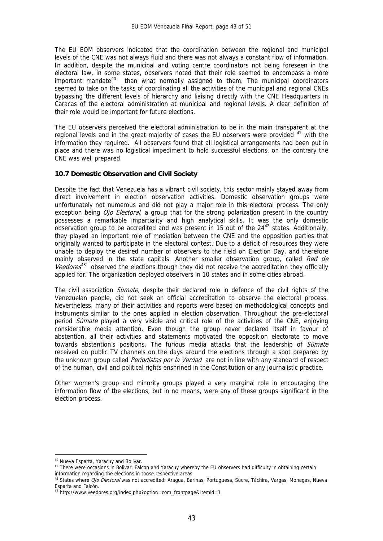The EU EOM observers indicated that the coordination between the regional and municipal levels of the CNE was not always fluid and there was not always a constant flow of information. In addition, despite the municipal and voting centre coordinators not being foreseen in the electoral law, in some states, observers noted that their role seemed to encompass a more important mandate $40$  than what normally assigned to them. The municipal coordinators seemed to take on the tasks of coordinating all the activities of the municipal and regional CNEs bypassing the different levels of hierarchy and liaising directly with the CNE Headquarters in Caracas of the electoral administration at municipal and regional levels. A clear definition of their role would be important for future elections.

The EU observers perceived the electoral administration to be in the main transparent at the regional levels and in the great majority of cases the EU observers were provided  $41$  with the information they required. All observers found that all logistical arrangements had been put in place and there was no logistical impediment to hold successful elections, on the contrary the CNE was well prepared.

#### **10.7 Domestic Observation and Civil Society**

Despite the fact that Venezuela has a vibrant civil society, this sector mainly stayed away from direct involvement in election observation activities. Domestic observation groups were unfortunately not numerous and did not play a major role in this electoral process. The only exception being  $O$ jo Electoral, a group that for the strong polarization present in the country possesses a remarkable impartiality and high analytical skills. It was the only domestic observation group to be accredited and was present in 15 out of the  $24^{42}$  $24^{42}$  $24^{42}$  states. Additionally, they played an important role of mediation between the CNE and the opposition parties that originally wanted to participate in the electoral contest. Due to a deficit of resources they were unable to deploy the desired number of observers to the field on Election Day, and therefore mainly observed in the state capitals. Another smaller observation group, called Red de Veedores<sup>[43](#page-43-3)</sup> observed the elections though they did not receive the accreditation they officially applied for. The organization deployed observers in 10 states and in some cities abroad.

The civil association *Sùmate*, despite their declared role in defence of the civil rights of the Venezuelan people, did not seek an official accreditation to observe the electoral process. Nevertheless, many of their activities and reports were based on methodological concepts and instruments similar to the ones applied in election observation. Throughout the pre-electoral period *Sùmate* played a very visible and critical role of the activities of the CNE, enjoying considerable media attention. Even though the group never declared itself in favour of abstention, all their activities and statements motivated the opposition electorate to move towards abstention's positions. The furious media attacks that the leadership of *Sùmate* received on public TV channels on the days around the elections through a spot prepared by the unknown group called *Periodistas por la Verdad* are not in line with any standard of respect of the human, civil and political rights enshrined in the Constitution or any journalistic practice.

Other women's group and minority groups played a very marginal role in encouraging the information flow of the elections, but in no means, were any of these groups significant in the election process.

<u>.</u>

<span id="page-43-0"></span><sup>40</sup> Nueva Esparta, Yaracuy and Bolivar.

<span id="page-43-1"></span><sup>&</sup>lt;sup>41</sup> There were occasions in Bolivar, Falcon and Yaracuy whereby the EU observers had difficulty in obtaining certain information regarding the elections in those respective areas.

<span id="page-43-2"></span><sup>&</sup>lt;sup>42</sup> States where *Ojo Electoral* was not accredited: Aragua, Barinas, Portuguesa, Sucre, Táchira, Vargas, Monagas, Nueva Esparta and Falcón.

<span id="page-43-3"></span><sup>43</sup> http://www.veedores.org/index.php?option=com\_frontpage&Itemid=1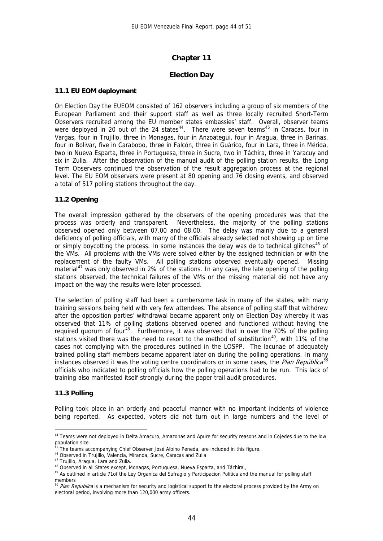#### **Chapter 11**

#### **Election Day**

#### **11.1 EU EOM deployment**

On Election Day the EUEOM consisted of 162 observers including a group of six members of the European Parliament and their support staff as well as three locally recruited Short-Term Observers recruited among the EU member states embassies' staff. Overall, observer teams were deployed in 20 out of the 24 states<sup>[44](#page-44-0)</sup>. There were seven teams<sup>[45](#page-44-1)</sup> in Caracas, four in Vargas, four in Trujillo, three in Monagas, four in Anzoategui, four in Aragua, three in Barinas, four in Bolivar, five in Carabobo, three in Falcón, three in Guárico, four in Lara, three in Mérida, two in Nueva Esparta, three in Portuguesa, three in Sucre, two in Táchira, three in Yaracuy and six in Zulia. After the observation of the manual audit of the polling station results, the Long Term Observers continued the observation of the result aggregation process at the regional level. The EU EOM observers were present at 80 opening and 76 closing events, and observed a total of 517 polling stations throughout the day.

#### **11.2 Opening**

The overall impression gathered by the observers of the opening procedures was that the process was orderly and transparent. Nevertheless, the majority of the polling stations observed opened only between 07.00 and 08.00. The delay was mainly due to a general deficiency of polling officials, with many of the officials already selected not showing up on time or simply boycotting the process. In some instances the delay was de to technical glitches<sup>[46](#page-44-2)</sup> of the VMs. All problems with the VMs were solved either by the assigned technician or with the replacement of the faulty VMs. All polling stations observed eventually opened. Missing material<sup>[47](#page-44-3)</sup> was only observed in 2% of the stations. In any case, the late opening of the polling stations observed, the technical failures of the VMs or the missing material did not have any impact on the way the results were later processed.

The selection of polling staff had been a cumbersome task in many of the states, with many training sessions being held with very few attendees. The absence of polling staff that withdrew after the opposition parties' withdrawal became apparent only on Election Day whereby it was observed that 11% of polling stations observed opened and functioned without having the required quorum of four<sup>[48](#page-44-4)</sup>. Furthermore, it was observed that in over the 70% of the polling stations visited there was the need to resort to the method of substitution<sup>[49](#page-44-5)</sup>, with 11% of the cases not complying with the procedures outlined in the LOSPP. The lacunae of adequately trained polling staff members became apparent later on during the polling operations. In many instances observed it was the voting centre coordinators or in some cases, the Plan República<sup>[50](#page-44-6)</sup> officials who indicated to polling officials how the polling operations had to be run. This lack of training also manifested itself strongly during the paper trail audit procedures.

#### **11.3 Polling**

1

Polling took place in an orderly and peaceful manner with no important incidents of violence being reported. As expected, voters did not turn out in large numbers and the level of

<span id="page-44-0"></span><sup>44</sup> Teams were not deployed in Delta Amacuro, Amazonas and Apure for security reasons and in Cojedes due to the low population size.

<span id="page-44-1"></span><sup>&</sup>lt;sup>45</sup> The teams accompanying Chief Observer José Albino Peneda, are included in this figure.<br><sup>46</sup> Observed in Trujillo, Valencia, Miranda, Sucre, Caracas and Zulia

<span id="page-44-3"></span><span id="page-44-2"></span><sup>&</sup>lt;sup>47</sup> Trujillo, Aragua, Lara and Zulia.<br><sup>48</sup> Observed in all States except, Monagas, Portuguesa, Nueva Esparta, and Táchira.,

<span id="page-44-5"></span><span id="page-44-4"></span><sup>&</sup>lt;sup>49</sup> As outlined in article 71of the Ley Organica del Sufragio y Participacion Politica and the manual for polling staff members

<span id="page-44-6"></span><sup>&</sup>lt;sup>50</sup> Plan Republica is a mechanism for security and logistical support to the electoral process provided by the Army on electoral period, involving more than 120,000 army officers.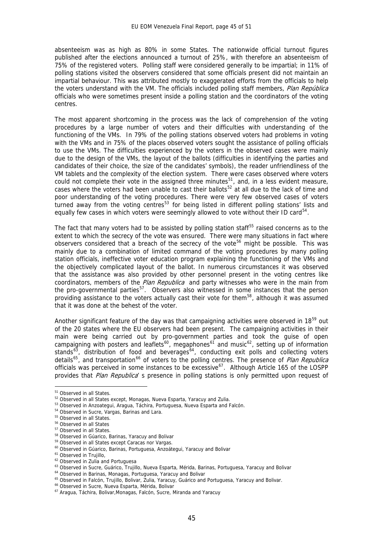absenteeism was as high as 80% in some States. The nationwide official turnout figures published after the elections announced a turnout of 25%, with therefore an absenteeism of 75% of the registered voters. Polling staff were considered generally to be impartial; in 11% of polling stations visited the observers considered that some officials present did not maintain an impartial behaviour. This was attributed mostly to exaggerated efforts from the officials to help the voters understand with the VM. The officials included polling staff members, *Plan República* officials who were sometimes present inside a polling station and the coordinators of the voting centres.

The most apparent shortcoming in the process was the lack of comprehension of the voting procedures by a large number of voters and their difficulties with understanding of the functioning of the VMs. In 79% of the polling stations observed voters had problems in voting with the VMs and in 75% of the places observed voters sought the assistance of polling officials to use the VMs. The difficulties experienced by the voters in the observed cases were mainly due to the design of the VMs, the layout of the ballots (difficulties in identifying the parties and candidates of their choice, the size of the candidates' symbols), the reader unfriendliness of the VM tablets and the complexity of the election system. There were cases observed where voters could not complete their vote in the assigned three minutes<sup>[51](#page-45-0)</sup>, and, in a less evident measure, cases where the voters had been unable to cast their ballots<sup>[52](#page-45-1)</sup> at all due to the lack of time and poor understanding of the voting procedures. There were very few observed cases of voters turned away from the voting centres<sup>[53](#page-45-2)</sup> for being listed in different polling stations' lists and equally few cases in which voters were seemingly allowed to vote without their ID card<sup>[54](#page-45-3)</sup>.

The fact that many voters had to be assisted by polling station staff<sup>[55](#page-45-4)</sup> raised concerns as to the extent to which the secrecy of the vote was ensured. There were many situations in fact where observers considered that a breach of the secrecy of the vote<sup>[56](#page-45-5)</sup> might be possible. This was mainly due to a combination of limited command of the voting procedures by many polling station officials, ineffective voter education program explaining the functioning of the VMs and the objectively complicated layout of the ballot. In numerous circumstances it was observed that the assistance was also provided by other personnel present in the voting centres like coordinators, members of the Plan Republica and party witnesses who were in the main from the pro-governmental parties<sup>[57](#page-45-6)</sup>. Observers also witnessed in some instances that the person providing assistance to the voters actually cast their vote for them<sup>[58](#page-45-7)</sup>, although it was assumed that it was done at the behest of the voter.

Another significant feature of the day was that campaigning activities were observed in 18<sup>[59](#page-45-8)</sup> out of the 20 states where the EU observers had been present. The campaigning activities in their main were being carried out by pro-government parties and took the guise of open campaigning with posters and leaflets<sup>[60](#page-45-9)</sup>, megaphones<sup>[61](#page-45-10)</sup> and music<sup>[62](#page-45-11)</sup>, setting up of information stands $^{63}$  $^{63}$  $^{63}$ , distribution of food and beverages $^{64}$  $^{64}$  $^{64}$ , conducting exit polls and collecting voters details<sup>[65](#page-45-14)</sup>, and transportation<sup>[66](#page-45-15)</sup> of voters to the polling centres. The presence of Plan Republica officials was perceived in some instances to be excessive<sup>[67](#page-45-16)</sup>. Although Article 165 of the LOSPP provides that Plan Republica' s presence in polling stations is only permitted upon request of

1

<sup>&</sup>lt;sup>51</sup> Observed in all States.

<span id="page-45-1"></span><span id="page-45-0"></span><sup>&</sup>lt;sup>52</sup> Observed in all States except, Monagas, Nueva Esparta, Yaracuy and Zulia.<br><sup>53</sup> Observed in Anzoategui, Aragua, Táchira, Portuguesa, Nueva Esparta and Falcón.<br><sup>54</sup> Observed in Sucre, Vargas, Barinas and Lara.

<span id="page-45-2"></span>

<span id="page-45-3"></span>

<sup>55</sup> Observed in all States.

<span id="page-45-6"></span><span id="page-45-5"></span><span id="page-45-4"></span><sup>56</sup> Observed in all States

<sup>&</sup>lt;sup>57</sup> Observed in all States.

<span id="page-45-7"></span><sup>&</sup>lt;sup>58</sup> Observed in Gúarico, Barinas, Yaracuy and Bolivar<br><sup>59</sup> Observed in all States except Caracas nor Vargas.

<span id="page-45-10"></span><span id="page-45-9"></span><span id="page-45-8"></span> $^{60}$  Observed in Gúarico, Barinas, Portuguesa, Anzoátegui, Yaracuy and Bolivar  $^{61}$  Observed in Trujillo,

<sup>&</sup>lt;sup>62</sup> Observed in Zulia and Portuguesa

<span id="page-45-13"></span><span id="page-45-12"></span><span id="page-45-11"></span><sup>&</sup>lt;sup>63</sup> Observed in Sucre, Guárico, Trujillo, Nueva Esparta, Mérida, Barinas, Portuguesa, Yaracuy and Bolivar <sup>64</sup> Observed in Barinas, Monagas, Portuguesa, Yaracuy and Bolivar <sup>65</sup> Observed in Falcón, Trujillo, Bolivar, Zul

<span id="page-45-14"></span>

<span id="page-45-16"></span><span id="page-45-15"></span><sup>&</sup>lt;sup>67</sup> Aragua, Táchira, Bolivar, Monagas, Falcón, Sucre, Miranda and Yaracuy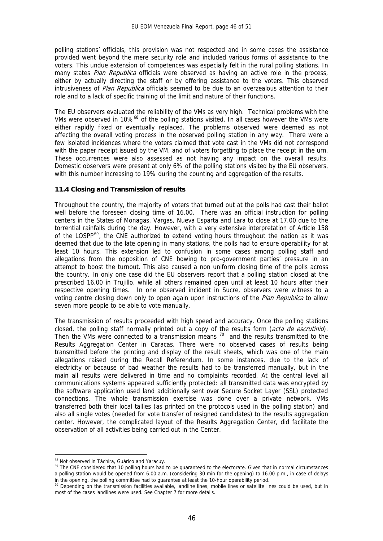polling stations' officials, this provision was not respected and in some cases the assistance provided went beyond the mere security role and included various forms of assistance to the voters. This undue extension of competences was especially felt in the rural polling stations. In many states Plan Republica officials were observed as having an active role in the process, either by actually directing the staff or by offering assistance to the voters. This observed intrusiveness of Plan Republica officials seemed to be due to an overzealous attention to their role and to a lack of specific training of the limit and nature of their functions.

The EU observers evaluated the reliability of the VMs as very high. Technical problems with the VMs were observed in 10%<sup>[68](#page-46-0)</sup> of the polling stations visited. In all cases however the VMs were either rapidly fixed or eventually replaced. The problems observed were deemed as not affecting the overall voting process in the observed polling station in any way. There were a few isolated incidences where the voters claimed that vote cast in the VMs did not correspond with the paper receipt issued by the VM, and of voters forgetting to place the receipt in the urn. These occurrences were also assessed as not having any impact on the overall results. Domestic observers were present at only 6% of the polling stations visited by the EU observers, with this number increasing to 19% during the counting and aggregation of the results.

#### **11.4 Closing and Transmission of results**

Throughout the country, the majority of voters that turned out at the polls had cast their ballot well before the foreseen closing time of 16.00. There was an official instruction for polling centers in the States of Monagas, Vargas, Nueva Esparta and Lara to close at 17.00 due to the torrential rainfalls during the day. However, with a very extensive interpretation of Article 158 of the LOSPP<sup>[69](#page-46-1)</sup>, the CNE authorized to extend voting hours throughout the nation as it was deemed that due to the late opening in many stations, the polls had to ensure operability for at least 10 hours. This extension led to confusion in some cases among polling staff and allegations from the opposition of CNE bowing to pro-government parties' pressure in an attempt to boost the turnout. This also caused a non uniform closing time of the polls across the country. In only one case did the EU observers report that a polling station closed at the prescribed 16.00 in Trujillo, while all others remained open until at least 10 hours after their respective opening times. In one observed incident in Sucre, observers were witness to a voting centre closing down only to open again upon instructions of the Plan Republica to allow seven more people to be able to vote manually.

The transmission of results proceeded with high speed and accuracy. Once the polling stations closed, the polling staff normally printed out a copy of the results form (*acta de escrutinio*). Then the VMs were connected to a transmission means  $70$  and the results transmitted to the Results Aggregation Center in Caracas. There were no observed cases of results being transmitted before the printing and display of the result sheets, which was one of the main allegations raised during the Recall Referendum. In some instances, due to the lack of electricity or because of bad weather the results had to be transferred manually, but in the main all results were delivered in time and no complaints recorded. At the central level all communications systems appeared sufficiently protected: all transmitted data was encrypted by the software application used land additionally sent over Secure Socket Layer (SSL) protected connections. The whole transmission exercise was done over a private network. VMs transferred both their local tallies (as printed on the protocols used in the polling station) and also all single votes (needed for vote transfer of resigned candidates) to the results aggregation center. However, the complicated layout of the Results Aggregation Center, did facilitate the observation of all activities being carried out in the Center.

<u>.</u>

<sup>&</sup>lt;sup>68</sup> Not observed in Táchira, Guárico and Yaracuy.

<span id="page-46-1"></span><span id="page-46-0"></span><sup>&</sup>lt;sup>69</sup> The CNE considered that 10 polling hours had to be guaranteed to the electorate. Given that in normal circumstances a polling station would be opened from 6.00 a.m. (considering 30 min for the opening) to 16.00 p.m., in case of delays

<span id="page-46-2"></span>in the opening, the polling committee had to guarantee at least the 10-hour operability period.  $70$  Depending on the transmission facilities available, landline lines, mobile lines or satellite lines could be used, but i most of the cases landlines were used. See Chapter 7 for more details.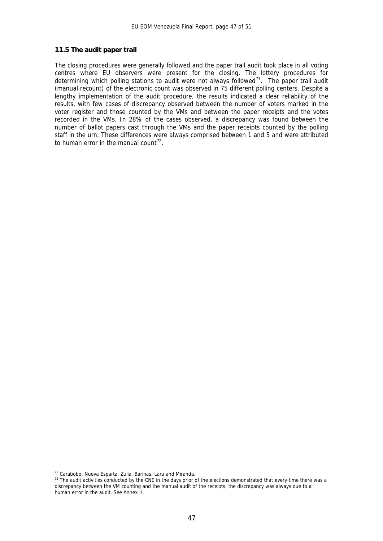#### **11.5 The audit paper trail**

The closing procedures were generally followed and the paper trail audit took place in all voting centres where EU observers were present for the closing. The lottery procedures for determining which polling stations to audit were not always followed<sup>[71](#page-47-0)</sup>. The paper trail audit (manual recount) of the electronic count was observed in 75 different polling centers. Despite a lengthy implementation of the audit procedure, the results indicated a clear reliability of the results, with few cases of discrepancy observed between the number of voters marked in the voter register and those counted by the VMs and between the paper receipts and the votes recorded in the VMs. In 28% of the cases observed, a discrepancy was found between the number of ballot papers cast through the VMs and the paper receipts counted by the polling staff in the urn. These differences were always comprised between 1 and 5 and were attributed to human error in the manual count<sup>[72](#page-47-1)</sup>.

1

<span id="page-47-1"></span><span id="page-47-0"></span><sup>&</sup>lt;sup>71</sup> Carabobo, Nueva Esparta, Zulia, Barinas, Lara and Miranda.<br><sup>72</sup> The audit activities conducted by the CNE in the days prior of the elections demonstrated that every time there was a discrepancy between the VM counting and the manual audit of the receipts, the discrepancy was always due to a human error in the audit. See Annex II.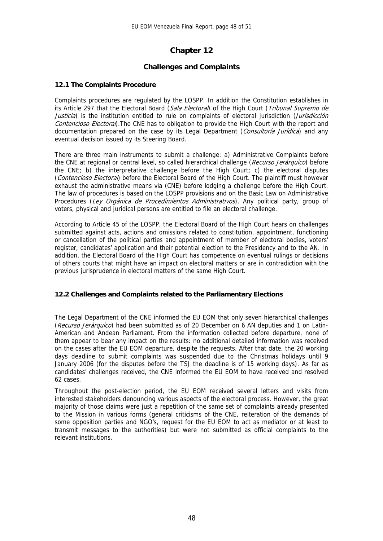# **Chapter 12**

#### **Challenges and Complaints**

#### **12.1 The Complaints Procedure**

Complaints procedures are regulated by the LOSPP. In addition the Constitution establishes in its Article 297 that the Electoral Board (Sala Electoral) of the High Court (Tribunal Supremo de Justicia) is the institution entitled to rule on complaints of electoral jurisdiction (Jurisdicción Contencioso Electoral). The CNE has to obligation to provide the High Court with the report and documentation prepared on the case by its Legal Department (Consultoría Jurídica) and any eventual decision issued by its Steering Board.

There are three main instruments to submit a challenge: a) Administrative Complaints before the CNE at regional or central level, so called hierarchical challenge (Recurso Jerárquico) before the CNE; b) the interpretative challenge before the High Court; c) the electoral disputes (Contencioso Electoral) before the Electoral Board of the High Court. The plaintiff must however exhaust the administrative means via (CNE) before lodging a challenge before the High Court. The law of procedures is based on the LOSPP provisions and on the Basic Law on Administrative Procedures (Ley Orgánica de Procedimientos Administrativos). Any political party, group of voters, physical and juridical persons are entitled to file an electoral challenge.

According to Article 45 of the LOSPP, the Electoral Board of the High Court hears on challenges submitted against acts, actions and omissions related to constitution, appointment, functioning or cancellation of the political parties and appointment of member of electoral bodies, voters' register, candidates' application and their potential election to the Presidency and to the AN. In addition, the Electoral Board of the High Court has competence on eventual rulings or decisions of others courts that might have an impact on electoral matters or are in contradiction with the previous jurisprudence in electoral matters of the same High Court.

#### **12.2 Challenges and Complaints related to the Parliamentary Elections**

The Legal Department of the CNE informed the EU EOM that only seven hierarchical challenges (Recurso Jerárquico) had been submitted as of 20 December on 6 AN deputies and 1 on Latin-American and Andean Parliament. From the information collected before departure, none of them appear to bear any impact on the results: no additional detailed information was received on the cases after the EU EOM departure, despite the requests. After that date, the 20 working days deadline to submit complaints was suspended due to the Christmas holidays until 9 January 2006 (for the disputes before the TSJ the deadline is of 15 working days). As far as candidates' challenges received, the CNE informed the EU EOM to have received and resolved 62 cases.

Throughout the post-election period, the EU EOM received several letters and visits from interested stakeholders denouncing various aspects of the electoral process. However, the great majority of those claims were just a repetition of the same set of complaints already presented to the Mission in various forms (general criticisms of the CNE, reiteration of the demands of some opposition parties and NGO's, request for the EU EOM to act as mediator or at least to transmit messages to the authorities) but were not submitted as official complaints to the relevant institutions.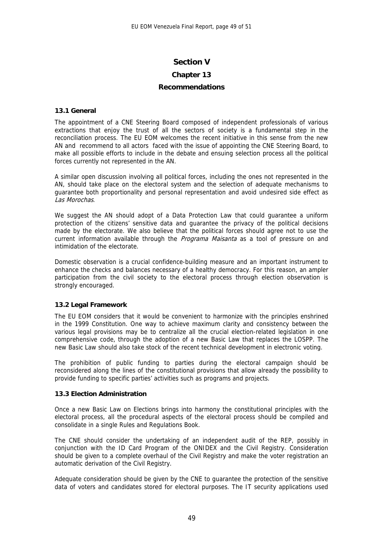#### **Section V**

#### **Chapter 13**

#### **Recommendations**

#### **13.1 General**

The appointment of a CNE Steering Board composed of independent professionals of various extractions that enjoy the trust of all the sectors of society is a fundamental step in the reconciliation process. The EU EOM welcomes the recent initiative in this sense from the new AN and recommend to all actors faced with the issue of appointing the CNE Steering Board, to make all possible efforts to include in the debate and ensuing selection process all the political forces currently not represented in the AN.

A similar open discussion involving all political forces, including the ones not represented in the AN, should take place on the electoral system and the selection of adequate mechanisms to guarantee both proportionality and personal representation and avoid undesired side effect as Las Morochas.

We suggest the AN should adopt of a Data Protection Law that could guarantee a uniform protection of the citizens' sensitive data and guarantee the privacy of the political decisions made by the electorate. We also believe that the political forces should agree not to use the current information available through the *Programa Maisanta* as a tool of pressure on and intimidation of the electorate.

Domestic observation is a crucial confidence-building measure and an important instrument to enhance the checks and balances necessary of a healthy democracy. For this reason, an ampler participation from the civil society to the electoral process through election observation is strongly encouraged.

#### **13.2 Legal Framework**

The EU EOM considers that it would be convenient to harmonize with the principles enshrined in the 1999 Constitution. One way to achieve maximum clarity and consistency between the various legal provisions may be to centralize all the crucial election-related legislation in one comprehensive code, through the adoption of a new Basic Law that replaces the LOSPP. The new Basic Law should also take stock of the recent technical development in electronic voting.

The prohibition of public funding to parties during the electoral campaign should be reconsidered along the lines of the constitutional provisions that allow already the possibility to provide funding to specific parties' activities such as programs and projects.

#### **13.3 Election Administration**

Once a new Basic Law on Elections brings into harmony the constitutional principles with the electoral process, all the procedural aspects of the electoral process should be compiled and consolidate in a single Rules and Regulations Book.

The CNE should consider the undertaking of an independent audit of the REP, possibly in conjunction with the ID Card Program of the ONIDEX and the Civil Registry. Consideration should be given to a complete overhaul of the Civil Registry and make the voter registration an automatic derivation of the Civil Registry.

Adequate consideration should be given by the CNE to guarantee the protection of the sensitive data of voters and candidates stored for electoral purposes. The IT security applications used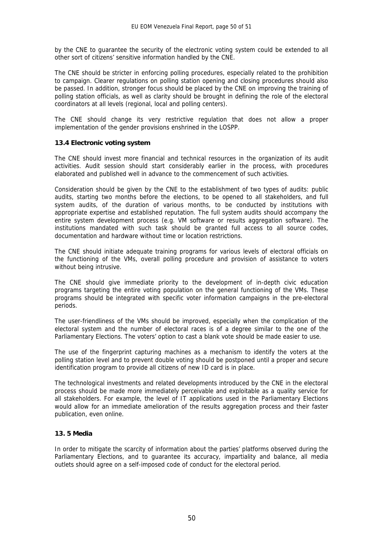by the CNE to guarantee the security of the electronic voting system could be extended to all other sort of citizens' sensitive information handled by the CNE.

The CNE should be stricter in enforcing polling procedures, especially related to the prohibition to campaign. Clearer regulations on polling station opening and closing procedures should also be passed. In addition, stronger focus should be placed by the CNE on improving the training of polling station officials, as well as clarity should be brought in defining the role of the electoral coordinators at all levels (regional, local and polling centers).

The CNE should change its very restrictive regulation that does not allow a proper implementation of the gender provisions enshrined in the LOSPP.

#### **13.4 Electronic voting system**

The CNE should invest more financial and technical resources in the organization of its audit activities. Audit session should start considerably earlier in the process, with procedures elaborated and published well in advance to the commencement of such activities.

Consideration should be given by the CNE to the establishment of two types of audits: public audits, starting two months before the elections, to be opened to all stakeholders, and full system audits, of the duration of various months, to be conducted by institutions with appropriate expertise and established reputation. The full system audits should accompany the entire system development process (e.g. VM software or results aggregation software). The institutions mandated with such task should be granted full access to all source codes, documentation and hardware without time or location restrictions.

The CNE should initiate adequate training programs for various levels of electoral officials on the functioning of the VMs, overall polling procedure and provision of assistance to voters without being intrusive.

The CNE should give immediate priority to the development of in-depth civic education programs targeting the entire voting population on the general functioning of the VMs. These programs should be integrated with specific voter information campaigns in the pre-electoral periods.

The user-friendliness of the VMs should be improved, especially when the complication of the electoral system and the number of electoral races is of a degree similar to the one of the Parliamentary Elections. The voters' option to cast a blank vote should be made easier to use.

The use of the fingerprint capturing machines as a mechanism to identify the voters at the polling station level and to prevent double voting should be postponed until a proper and secure identification program to provide all citizens of new ID card is in place.

The technological investments and related developments introduced by the CNE in the electoral process should be made more immediately perceivable and exploitable as a quality service for all stakeholders. For example, the level of IT applications used in the Parliamentary Elections would allow for an immediate amelioration of the results aggregation process and their faster publication, even online.

#### **13. 5 Media**

In order to mitigate the scarcity of information about the parties' platforms observed during the Parliamentary Elections, and to guarantee its accuracy, impartiality and balance, all media outlets should agree on a self-imposed code of conduct for the electoral period.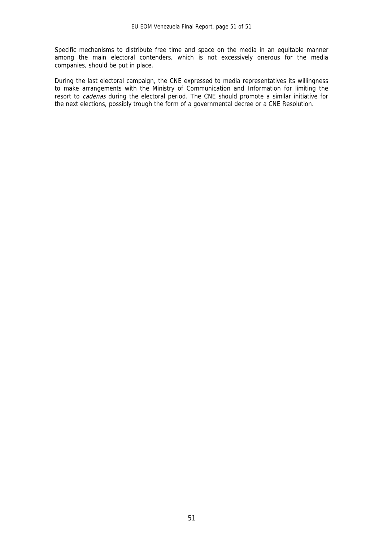Specific mechanisms to distribute free time and space on the media in an equitable manner among the main electoral contenders, which is not excessively onerous for the media companies, should be put in place.

During the last electoral campaign, the CNE expressed to media representatives its willingness to make arrangements with the Ministry of Communication and Information for limiting the resort to *cadenas* during the electoral period. The CNE should promote a similar initiative for the next elections, possibly trough the form of a governmental decree or a CNE Resolution.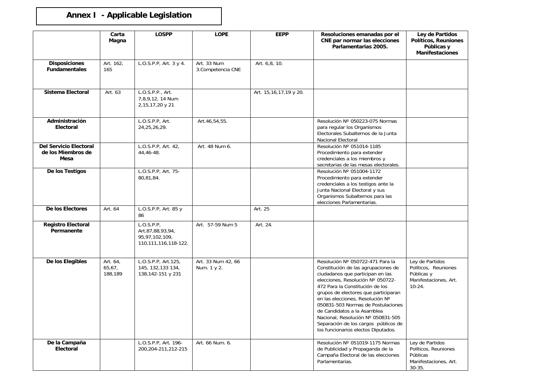# **Annex I - Applicable Legislation**

|                                                             | Carta<br>Magna                | <b>LOSPP</b>                                                                | <b>LOPE</b>                       | <b>EEPP</b>            | Resoluciones emanadas por el<br>CNE par normar las elecciones<br>Parlamentarias 2005.                                                                                                                                                                                                                                                                                                                                                                     | Ley de Partidos<br><b>Políticos, Reuniones</b><br>Públicas y<br><b>Manifestaciones</b>     |
|-------------------------------------------------------------|-------------------------------|-----------------------------------------------------------------------------|-----------------------------------|------------------------|-----------------------------------------------------------------------------------------------------------------------------------------------------------------------------------------------------------------------------------------------------------------------------------------------------------------------------------------------------------------------------------------------------------------------------------------------------------|--------------------------------------------------------------------------------------------|
| <b>Disposiciones</b><br><b>Fundamentales</b>                | Art. 162,<br>165              | L.O.S.P.P, Art. 3 y 4.                                                      | Art. 33 Num<br>3. Competencia CNE | Art. 6,8, 10.          |                                                                                                                                                                                                                                                                                                                                                                                                                                                           |                                                                                            |
| Sistema Electoral                                           | Art. 63                       | L.O.S.P.P., Art.<br>7,8,9,12, 14 Num<br>2,15,17,20 y 21                     |                                   | Art. 15,16,17,19 y 20. |                                                                                                                                                                                                                                                                                                                                                                                                                                                           |                                                                                            |
| Administración<br>Electoral                                 |                               | L.O.S.P.P, Art.<br>24, 25, 26, 29.                                          | Art.46,54,55.                     |                        | Resolución Nº 050223-075 Normas<br>para regular los Organismos<br>Electorales Subalternos de la Junta<br>Nacional Electoral                                                                                                                                                                                                                                                                                                                               |                                                                                            |
| <b>Del Servicio Electoral</b><br>de los Miembros de<br>Mesa |                               | L.O.S.P.P, Art. 42,<br>44,46-48.                                            | Art. 48 Num 6.                    |                        | Resolución Nº 051014-1185<br>Procedimiento para extender<br>credenciales a los miembros y<br>secretarias de las mesas electorales.                                                                                                                                                                                                                                                                                                                        |                                                                                            |
| De los Testigos                                             |                               | L.O.S.P.P, Art. 75-<br>80,81,84.                                            |                                   |                        | Resolución Nº 051004-1172<br>Procedimiento para extender<br>credenciales a los testigos ante la<br>Junta Nacional Electoral y sus<br>Organismos Subalternos para las<br>elecciones Parlamentarias.                                                                                                                                                                                                                                                        |                                                                                            |
| De los Electores                                            | Art. 64                       | L.O.S.P.P, Art. 85 y<br>86                                                  |                                   | Art. 25                |                                                                                                                                                                                                                                                                                                                                                                                                                                                           |                                                                                            |
| <b>Registro Electoral</b><br>Permanente                     |                               | L.O.S.P.P.<br>Art.87,88,93,94,<br>95,97,102,109,<br>110, 111, 116, 118-122. | Art. 57-59 Num 5                  | Art. 24.               |                                                                                                                                                                                                                                                                                                                                                                                                                                                           |                                                                                            |
| De los Elegibles                                            | Art. 64,<br>65,67,<br>188,189 | L.O.S.P.P, Art.125,<br>145, 132, 133 134,<br>138,142-151 y 231              | Art. 33 Num 42, 66<br>Num. 1 y 2. |                        | Resolución Nº 050722-471 Para la<br>Constitución de las agrupaciones de<br>ciudadanos que participan en las<br>elecciones, Resolución Nº 050722-<br>472 Para la Constitución de los<br>grupos de electores que participaran<br>en las elecciones, Resolución Nº<br>050831-503 Normas de Postulaciones<br>de Candidatos a la Asamblea<br>Nacional, Resolución Nº 050831-505<br>Separación de los cargos públicos de<br>los funcionarios electos Diputados. | Ley de Partidos<br>Políticos, Reuniones<br>Públicas y<br>Manifestaciones, Art.<br>$10-24.$ |
| De la Campaña<br><b>Electoral</b>                           |                               | L.O.S.P.P, Art. 196-<br>200, 204-211, 212-215                               | Art. 66 Num. 6.                   |                        | Resolución Nº 051019-1175 Normas<br>de Publicidad y Propaganda de la<br>Campaña Electoral de las elecciones<br>Parlamentarias.                                                                                                                                                                                                                                                                                                                            | Ley de Partidos<br>Políticos, Reuniones<br>Públicas<br>Manifestaciones, Art.<br>$30 - 35$  |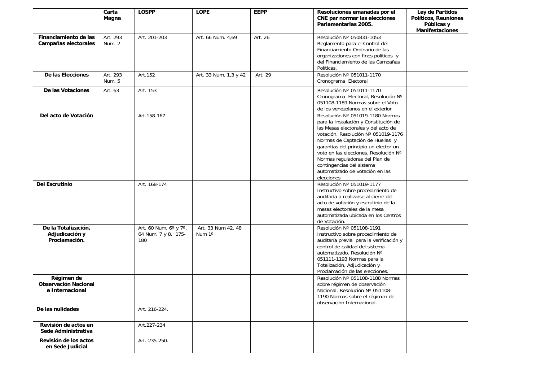|                                                              | Carta<br>Magna     | <b>LOSPP</b>                                        | <b>LOPE</b>                  | <b>EEPP</b> | Resoluciones emanadas por el<br>CNE par normar las elecciones<br>Parlamentarias 2005.                                                                                                                                                                                                                                                                                                         | Ley de Partidos<br>Políticos, Reuniones<br>Públicas y<br><b>Manifestaciones</b> |
|--------------------------------------------------------------|--------------------|-----------------------------------------------------|------------------------------|-------------|-----------------------------------------------------------------------------------------------------------------------------------------------------------------------------------------------------------------------------------------------------------------------------------------------------------------------------------------------------------------------------------------------|---------------------------------------------------------------------------------|
| Financiamiento de las<br>Campañas electorales                | Art. 293<br>Num. 2 | Art. 201-203                                        | Art. 66 Num. 4,69            | Art. 26     | Resolución Nº 050831-1053<br>Reglamento para el Control del<br>Financiamiento Ordinario de las<br>organizaciones con fines políticos y<br>del Financiamiento de las Campañas<br>Políticas.                                                                                                                                                                                                    |                                                                                 |
| De las Elecciones                                            | Art. 293<br>Num. 5 | Art.152                                             | Art. 33 Num. 1,3 y 42        | Art. 29     | Resolución Nº 051011-1170<br>Cronograma Electoral                                                                                                                                                                                                                                                                                                                                             |                                                                                 |
| De las Votaciones                                            | Art. 63            | Art. 153                                            |                              |             | Resolución Nº 051011-1170<br>Cronograma Electoral, Resolución Nº<br>051108-1189 Normas sobre el Voto<br>de los venezolanos en el exterior                                                                                                                                                                                                                                                     |                                                                                 |
| Del acto de Votación                                         |                    | Art.158-167                                         |                              |             | Resolución Nº 051019-1180 Normas<br>para la Instalación y Constitución de<br>las Mesas electorales y del acto de<br>votación, Resolución Nº 051019-1176<br>Normas de Captación de Huellas y<br>garantías del principio un elector un<br>voto en las elecciones. Resolución Nº<br>Normas reguladoras del Plan de<br>contingencias del sistema<br>automatizado de votación en las<br>elecciones |                                                                                 |
| <b>Del Escrutinio</b>                                        |                    | Art. 168-174                                        |                              |             | Resolución Nº 051019-1177<br>Instructivo sobre procedimiento de<br>auditaría a realizarse al cierre del<br>acto de votación y escrutinio de la<br>mesas electorales de la mesa<br>automatizada ubicada en los Centros<br>de Votación.                                                                                                                                                         |                                                                                 |
| De la Totalización,<br>Adjudicación y<br>Proclamación.       |                    | Art. 60 Num. 6° y 7°,<br>64 Num. 7 y 8, 175-<br>180 | Art. 33 Num 42, 48<br>Num 1° |             | Resolución Nº 051108-1191<br>Instructivo sobre procedimiento de<br>auditaría previa para la verificación y<br>control de calidad del sistema<br>automatizado. Resolución Nº<br>051111-1193 Normas para la<br>Totalización, Adjudicación y<br>Proclamación de las elecciones.                                                                                                                  |                                                                                 |
| Régimen de<br><b>Observación Nacional</b><br>e Internacional |                    |                                                     |                              |             | Resolución Nº 051108-1188 Normas<br>sobre régimen de observación<br>Nacional. Resolución Nº 051108-<br>1190 Normas sobre el régimen de<br>observación Internacional.                                                                                                                                                                                                                          |                                                                                 |
| De las nulidades                                             |                    | Art. 216-224.                                       |                              |             |                                                                                                                                                                                                                                                                                                                                                                                               |                                                                                 |
| Revisión de actos en<br>Sede Administrativa                  |                    | Art.227-234                                         |                              |             |                                                                                                                                                                                                                                                                                                                                                                                               |                                                                                 |
| Revisión de los actos<br>en Sede Judicial                    |                    | Art. 235-250.                                       |                              |             |                                                                                                                                                                                                                                                                                                                                                                                               |                                                                                 |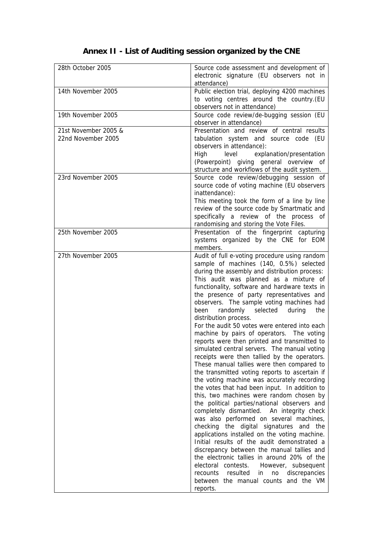# **Annex II - List of Auditing session organized by the CNE**

| 28th October 2005                          | Source code assessment and development of<br>electronic signature (EU observers not in<br>attendance)                                                                                                                                                                                                                                                                                                                                                                                                                                                                                                                                                                                                                                                                                                                                                                                                                                                                                                                                                                                                                                                                                                                                                                                                                                                                                                                                     |
|--------------------------------------------|-------------------------------------------------------------------------------------------------------------------------------------------------------------------------------------------------------------------------------------------------------------------------------------------------------------------------------------------------------------------------------------------------------------------------------------------------------------------------------------------------------------------------------------------------------------------------------------------------------------------------------------------------------------------------------------------------------------------------------------------------------------------------------------------------------------------------------------------------------------------------------------------------------------------------------------------------------------------------------------------------------------------------------------------------------------------------------------------------------------------------------------------------------------------------------------------------------------------------------------------------------------------------------------------------------------------------------------------------------------------------------------------------------------------------------------------|
| 14th November 2005                         | Public election trial, deploying 4200 machines<br>to voting centres around the country.(EU<br>observers not in attendance)                                                                                                                                                                                                                                                                                                                                                                                                                                                                                                                                                                                                                                                                                                                                                                                                                                                                                                                                                                                                                                                                                                                                                                                                                                                                                                                |
| 19th November 2005                         | Source code review/de-bugging session (EU<br>observer in attendance)                                                                                                                                                                                                                                                                                                                                                                                                                                                                                                                                                                                                                                                                                                                                                                                                                                                                                                                                                                                                                                                                                                                                                                                                                                                                                                                                                                      |
| 21st November 2005 &<br>22nd November 2005 | Presentation and review of central results<br>tabulation system and source code (EU<br>observers in attendance):<br>High<br>level<br>explanation/presentation<br>(Powerpoint) giving general overview of<br>structure and workflows of the audit system.                                                                                                                                                                                                                                                                                                                                                                                                                                                                                                                                                                                                                                                                                                                                                                                                                                                                                                                                                                                                                                                                                                                                                                                  |
| 23rd November 2005                         | Source code review/debugging session of<br>source code of voting machine (EU observers<br>inattendance):<br>This meeting took the form of a line by line<br>review of the source code by Smartmatic and<br>specifically a review of the process of<br>randomising and storing the Vote Files.                                                                                                                                                                                                                                                                                                                                                                                                                                                                                                                                                                                                                                                                                                                                                                                                                                                                                                                                                                                                                                                                                                                                             |
| 25th November 2005                         | Presentation of the fingerprint capturing<br>systems organized by the CNE for EOM<br>members.                                                                                                                                                                                                                                                                                                                                                                                                                                                                                                                                                                                                                                                                                                                                                                                                                                                                                                                                                                                                                                                                                                                                                                                                                                                                                                                                             |
| 27th November 2005                         | Audit of full e-voting procedure using random<br>sample of machines (140, 0.5%) selected<br>during the assembly and distribution process:<br>This audit was planned as a mixture of<br>functionality, software and hardware texts in<br>the presence of party representatives and<br>observers. The sample voting machines had<br>randomly<br>selected<br>been<br>during<br>the<br>distribution process.<br>For the audit 50 votes were entered into each<br>machine by pairs of operators. The voting<br>reports were then printed and transmitted to<br>simulated central servers. The manual voting<br>receipts were then tallied by the operators.<br>These manual tallies were then compared to<br>the transmitted voting reports to ascertain if<br>the voting machine was accurately recording<br>the votes that had been input. In addition to<br>this, two machines were random chosen by<br>the political parties/national observers and<br>completely dismantled. An integrity check<br>was also performed on several machines,<br>checking the digital signatures and the<br>applications installed on the voting machine.<br>Initial results of the audit demonstrated a<br>discrepancy between the manual tallies and<br>the electronic tallies in around 20% of the<br>electoral contests.<br>However, subsequent<br>resulted<br>discrepancies<br>recounts<br>in<br>no<br>between the manual counts and the VM<br>reports. |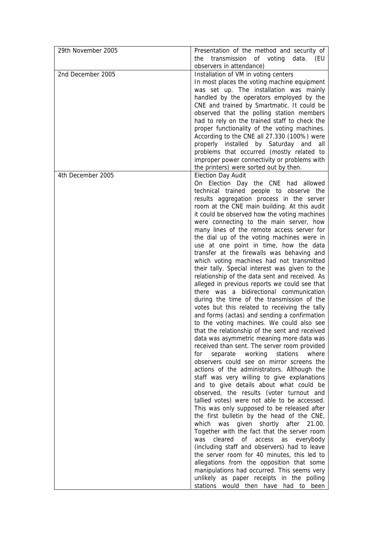| 29th November 2005 | Presentation of the method and security of<br>transmission<br>of voting<br>data.<br>the<br>(EU<br>observers in attendance)                                                                                                                                                                                                                                                                                                                                                                                                                                                                                                                                                                                                                                                                                                                                                                                                                                                                                                                                                                                                                                                                                                                                                                                                                                                                                                                                                                                                                                                                                                                                                                                                                                                                                                                                                                               |
|--------------------|----------------------------------------------------------------------------------------------------------------------------------------------------------------------------------------------------------------------------------------------------------------------------------------------------------------------------------------------------------------------------------------------------------------------------------------------------------------------------------------------------------------------------------------------------------------------------------------------------------------------------------------------------------------------------------------------------------------------------------------------------------------------------------------------------------------------------------------------------------------------------------------------------------------------------------------------------------------------------------------------------------------------------------------------------------------------------------------------------------------------------------------------------------------------------------------------------------------------------------------------------------------------------------------------------------------------------------------------------------------------------------------------------------------------------------------------------------------------------------------------------------------------------------------------------------------------------------------------------------------------------------------------------------------------------------------------------------------------------------------------------------------------------------------------------------------------------------------------------------------------------------------------------------|
| 2nd December 2005  | Installation of VM in voting centers<br>In most places the voting machine equipment<br>was set up. The installation was mainly<br>handled by the operators employed by the<br>CNE and trained by Smartmatic. It could be<br>observed that the polling station members<br>had to rely on the trained staff to check the<br>proper functionality of the voting machines.<br>According to the CNE all 27.330 (100%) were<br>properly installed by Saturday and all<br>problems that occurred (mostly related to<br>improper power connectivity or problems with<br>the printers) were sorted out by then.                                                                                                                                                                                                                                                                                                                                                                                                                                                                                                                                                                                                                                                                                                                                                                                                                                                                                                                                                                                                                                                                                                                                                                                                                                                                                                   |
| 4th December 2005  | <b>Election Day Audit</b><br>On Election Day the CNE had allowed<br>technical trained people to observe the<br>results aggregation process in the server<br>room at the CNE main building. At this audit<br>it could be observed how the voting machines<br>were connecting to the main server, how<br>many lines of the remote access server for<br>the dial up of the voting machines were in<br>use at one point in time, how the data<br>transfer at the firewalls was behaving and<br>which voting machines had not transmitted<br>their tally. Special interest was given to the<br>relationship of the data sent and received. As<br>alleged in previous reports we could see that<br>there was a bidirectional communication<br>during the time of the transmission of the<br>votes but this related to receiving the tally<br>and forms (actas) and sending a confirmation<br>to the voting machines. We could also see<br>that the relationship of the sent and received<br>data was asymmetric meaning more data was<br>received than sent. The server room provided<br>separate working<br>stations<br>where<br>for<br>observers could see on mirror screens the<br>actions of the administrators. Although the<br>staff was very willing to give explanations<br>and to give details about what could be<br>observed, the results (voter turnout and<br>tallied votes) were not able to be accessed.<br>This was only supposed to be released after<br>the first bulletin by the head of the CNE,<br>given shortly after<br>which was<br>21.00.<br>Together with the fact that the server room<br>cleared<br>was<br>of<br>access<br>as<br>everybody<br>(including staff and observers) had to leave<br>the server room for 40 minutes, this led to<br>allegations from the opposition that some<br>manipulations had occurred. This seems very<br>unlikely as paper receipts in the polling |
|                    | stations would then have had to been                                                                                                                                                                                                                                                                                                                                                                                                                                                                                                                                                                                                                                                                                                                                                                                                                                                                                                                                                                                                                                                                                                                                                                                                                                                                                                                                                                                                                                                                                                                                                                                                                                                                                                                                                                                                                                                                     |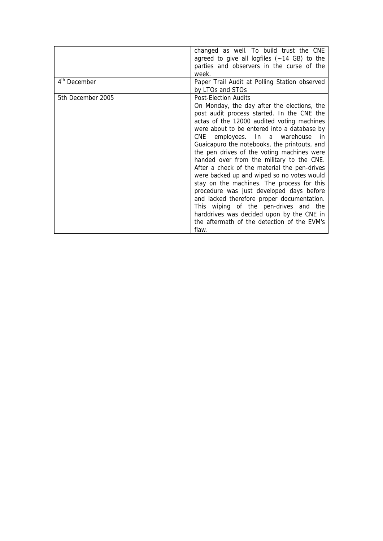|                          | changed as well. To build trust the CNE               |
|--------------------------|-------------------------------------------------------|
|                          | agreed to give all logfiles $(-14 \text{ GB})$ to the |
|                          | parties and observers in the curse of the             |
|                          | week.                                                 |
| 4 <sup>th</sup> December | Paper Trail Audit at Polling Station observed         |
|                          | by LTOs and STOs                                      |
| 5th December 2005        | <b>Post-Election Audits</b>                           |
|                          | On Monday, the day after the elections, the           |
|                          | post audit process started. In the CNE the            |
|                          | actas of the 12000 audited voting machines            |
|                          | were about to be entered into a database by           |
|                          | CNE employees. In a warehouse in                      |
|                          | Guaicapuro the notebooks, the printouts, and          |
|                          | the pen drives of the voting machines were            |
|                          | handed over from the military to the CNE.             |
|                          | After a check of the material the pen-drives          |
|                          | were backed up and wiped so no votes would            |
|                          | stay on the machines. The process for this            |
|                          | procedure was just developed days before              |
|                          | and lacked therefore proper documentation.            |
|                          | This wiping of the pen-drives and the                 |
|                          | harddrives was decided upon by the CNE in             |
|                          | the aftermath of the detection of the EVM's           |
|                          | flaw.                                                 |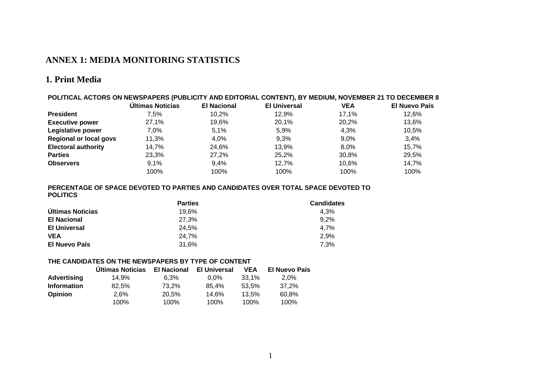# **ANNEX 1: MEDIA MONITORING STATISTICS**

#### **1. Print Media**

| POLITICAL ACTORS ON NEWSPAPERS (PUBLICITY AND EDITORIAL CONTENT), BY MEDIUM, NOVEMBER 21 TO DECEMBER 8 |                  |                    |                     |            |                      |
|--------------------------------------------------------------------------------------------------------|------------------|--------------------|---------------------|------------|----------------------|
|                                                                                                        | Últimas Noticias | <b>El Nacional</b> | <b>El Universal</b> | <b>VEA</b> | <b>El Nuevo País</b> |
| <b>President</b>                                                                                       | 7.5%             | 10.2%              | 12.9%               | 17.1%      | 12.6%                |
| <b>Executive power</b>                                                                                 | 27.1%            | 19.6%              | 20.1%               | 20.2%      | 13.6%                |
| Legislative power                                                                                      | 7.0%             | 5.1%               | 5.9%                | 4,3%       | 10,5%                |
| <b>Regional or local govs</b>                                                                          | 11,3%            | 4.0%               | 9.3%                | $9.0\%$    | 3.4%                 |
| <b>Electoral authority</b>                                                                             | 14.7%            | 24.6%              | 13.9%               | 8.0%       | 15.7%                |
| <b>Parties</b>                                                                                         | 23,3%            | 27,2%              | 25.2%               | 30,8%      | 29,5%                |
| <b>Observers</b>                                                                                       | 9.1%             | 9.4%               | 12.7%               | 10.6%      | 14,7%                |
|                                                                                                        | 100%             | 100%               | 100%                | 100%       | 100%                 |

#### **PERCENTAGE OF SPACE DEVOTED TO PARTIES AND CANDIDATES OVER TOTAL SPACE DEVOTED TO POLITICS**

|                     | <b>Parties</b> | <b>Candidates</b> |
|---------------------|----------------|-------------------|
| Últimas Noticias    | 19.6%          | 4.3%              |
| <b>El Nacional</b>  | 27.3%          | 9.2%              |
| <b>El Universal</b> | 24.5%          | 4.7%              |
| <b>VEA</b>          | 24.7%          | 2.9%              |
| El Nuevo País       | 31.6%          | 7.3%              |

#### **THE CANDIDATES ON THE NEWSPAPERS BY TYPE OF CONTENT**

|                    | <b>Ultimas Noticias</b> | <b>El Nacional</b> | <b>El Universal</b> | <b>VEA</b> | El Nuevo País |
|--------------------|-------------------------|--------------------|---------------------|------------|---------------|
| <b>Advertising</b> | 14.9%                   | $6.3\%$            | $0.0\%$             | 33.1%      | 2.0%          |
| <b>Information</b> | 82.5%                   | 73.2%              | 85.4%               | 53.5%      | 37.2%         |
| <b>Opinion</b>     | 2.6%                    | 20.5%              | 14.6%               | 13.5%      | 60.8%         |
|                    | 100%                    | 100%               | 100%                | 100%       | 100%          |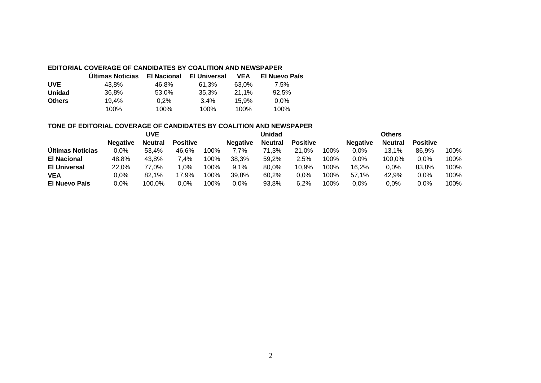#### **EDITORIAL COVERAGE OF CANDIDATES BY COALITION AND NEWSPAPER**

|               | <b>Ultimas Noticias</b> | <b>El Nacional</b> | El Universal | <b>VEA</b> | <b>El Nuevo País</b> |
|---------------|-------------------------|--------------------|--------------|------------|----------------------|
| <b>UVE</b>    | 43.8%                   | 46.8%              | 61.3%        | 63.0%      | $7.5\%$              |
| <b>Unidad</b> | 36.8%                   | 53,0%              | 35.3%        | 21.1%      | 92.5%                |
| <b>Others</b> | 19.4%                   | 0.2%               | 3.4%         | 15.9%      | $0.0\%$              |
|               | 100%                    | 100%               | 100%         | 100%       | 100%                 |

#### **TONE OF EDITORIAL COVERAGE OF CANDIDATES BY COALITION AND NEWSPAPER**

|                         |                 | <b>UVE</b>     |                 |      |                 | Unidad         |                 |      |                 | <b>Others</b>  |                 |      |
|-------------------------|-----------------|----------------|-----------------|------|-----------------|----------------|-----------------|------|-----------------|----------------|-----------------|------|
|                         | <b>Negative</b> | <b>Neutral</b> | <b>Positive</b> |      | <b>Negative</b> | <b>Neutral</b> | <b>Positive</b> |      | <b>Negative</b> | <b>Neutral</b> | <b>Positive</b> |      |
| <b>Ultimas Noticias</b> | 0,0%            | 53.4%          | 46,6%           | 100% | 7,7%            | 71,3%          | 21.0%           | 100% | $0,0\%$         | 13.1%          | 86,9%           | 100% |
| <b>El Nacional</b>      | 48.8%           | 43.8%          | 7,4%            | 100% | 38.3%           | 59.2%          | 2.5%            | 100% | $0,0\%$         | 100,0%         | 0,0%            | 100% |
| <b>El Universal</b>     | 22,0%           | 77.0%          | $1.0\%$         | 100% | 9.1%            | 80.0%          | 10,9%           | 100% | 16.2%           | $0,0\%$        | 83.8%           | 100% |
| <b>VEA</b>              | $0.0\%$         | 82,1%          | 17,9%           | 100% | 39.8%           | 60.2%          | 0.0%            | 100% | 57.1%           | 42.9%          | $0.0\%$         | 100% |
| <b>El Nuevo País</b>    | 0,0%            | 100.0%         | $0.0\%$         | 100% | 0,0%            | 93.8%          | 6.2%            | 100% | 0.0%            | 0,0%           | $0.0\%$         | 100% |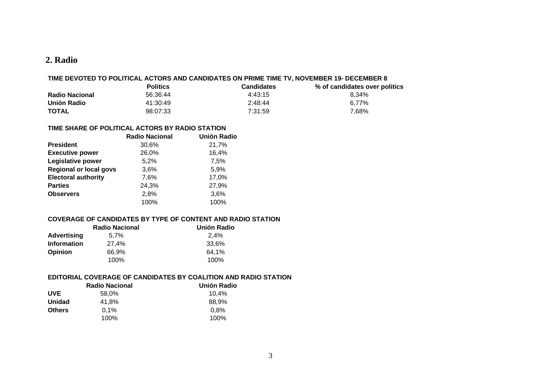#### **2. Radio**

#### **TIME DEVOTED TO POLITICAL ACTORS AND CANDIDATES ON PRIME TIME TV, NOVEMBER 19- DECEMBER 8**

|                       | <b>Politics</b> | <b>Candidates</b> | % of candidates over politics |
|-----------------------|-----------------|-------------------|-------------------------------|
| <b>Radio Nacional</b> | 56:36:44        | 4:43:15           | 8.34%                         |
| Unión Radio           | 41:30:49        | 2:48:44           | 6.77%                         |
| <b>TOTAL</b>          | 98:07:33        | 7:31:59           | 7,68%                         |

#### **TIME SHARE OF POLITICAL ACTORS BY RADIO STATION**

|                               | <b>Radio Nacional</b> | <b>Unión Radio</b> |
|-------------------------------|-----------------------|--------------------|
| <b>President</b>              | 30,6%                 | 21,7%              |
| <b>Executive power</b>        | 26,0%                 | 16,4%              |
| Legislative power             | 5,2%                  | 7,5%               |
| <b>Regional or local govs</b> | 3,6%                  | 5,9%               |
| <b>Electoral authority</b>    | 7,6%                  | 17,0%              |
| <b>Parties</b>                | 24,3%                 | 27,9%              |
| <b>Observers</b>              | 2,8%                  | 3,6%               |
|                               | 100%                  | 100%               |

#### **COVERAGE OF CANDIDATES BY TYPE OF CONTENT AND RADIO STATION**

|                    | <b>Radio Nacional</b> | <b>Unión Radio</b> |
|--------------------|-----------------------|--------------------|
| Advertising        | $5.7\%$               | 2.4%               |
| <b>Information</b> | 27.4%                 | 33.6%              |
| <b>Opinion</b>     | 66.9%                 | 64.1%              |
|                    | 100%                  | 100%               |

#### **EDITORIAL COVERAGE OF CANDIDATES BY COALITION AND RADIO STATION**

|               | <b>Radio Nacional</b> | Unión Radio |
|---------------|-----------------------|-------------|
| <b>UVE</b>    | 58.0%                 | 10.4%       |
| <b>Unidad</b> | 41.8%                 | 88.9%       |
| <b>Others</b> | $0.1\%$               | 0.8%        |
|               | 100%                  | 100%        |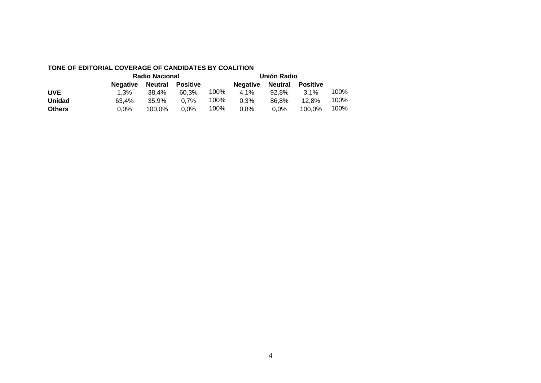#### **TONE OF EDITORIAL COVERAGE OF CANDIDATES BY COALITION**

|               | <b>Radio Nacional</b> |         | Unión Radio |      |                 |                |                 |      |
|---------------|-----------------------|---------|-------------|------|-----------------|----------------|-----------------|------|
|               | <b>Negative</b>       | Neutral | Positive    |      | <b>Negative</b> | <b>Neutral</b> | <b>Positive</b> |      |
| <b>UVE</b>    | $1.3\%$               | 38.4%   | 60.3%       | 100% | $4.1\%$         | 92.8%          | $3.1\%$         | 100% |
| <b>Unidad</b> | 63.4%                 | 35.9%   | 0.7%        | 100% | 0.3%            | 86.8%          | 12.8%           | 100% |
| <b>Others</b> | 0.0%                  | 100.0%  | $0.0\%$     | 100% | 0.8%            | $0.0\%$        | 100.0%          | 100% |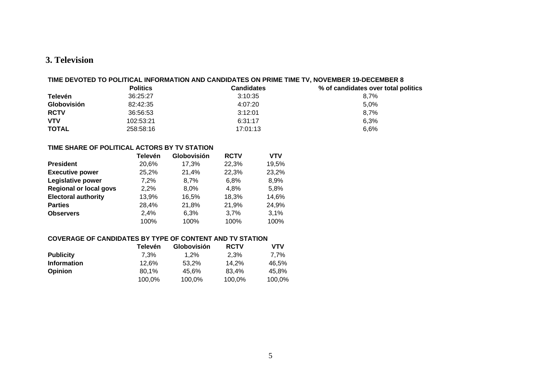#### **3. Television**

#### **TIME DEVOTED TO POLITICAL INFORMATION AND CANDIDATES ON PRIME TIME TV, NOVEMBER 19-DECEMBER 8**

|              | <b>Politics</b> | <b>Candidates</b> | % of candidates over total politics |
|--------------|-----------------|-------------------|-------------------------------------|
| Televén      | 36:25:27        | 3:10:35           | 8.7%                                |
| Globovisión  | 82:42:35        | 4:07:20           | 5.0%                                |
| <b>RCTV</b>  | 36:56:53        | 3:12:01           | 8.7%                                |
| <b>VTV</b>   | 102:53:21       | 6:31:17           | 6.3%                                |
| <b>TOTAL</b> | 258:58:16       | 17:01:13          | 6.6%                                |

#### **TIME SHARE OF POLITICAL ACTORS BY TV STATION**

|                               | <b>Televén</b> | Globovisión | <b>RCTV</b> | <b>VTV</b> |
|-------------------------------|----------------|-------------|-------------|------------|
| <b>President</b>              | 20,6%          | 17,3%       | 22,3%       | 19,5%      |
| <b>Executive power</b>        | 25,2%          | 21,4%       | 22,3%       | 23,2%      |
| Legislative power             | 7,2%           | 8,7%        | 6,8%        | 8,9%       |
| <b>Regional or local govs</b> | 2,2%           | 8,0%        | 4,8%        | 5,8%       |
| <b>Electoral authority</b>    | 13,9%          | 16,5%       | 18,3%       | 14,6%      |
| <b>Parties</b>                | 28,4%          | 21,8%       | 21,9%       | 24,9%      |
| <b>Observers</b>              | 2.4%           | 6,3%        | 3,7%        | 3,1%       |
|                               | 100%           | 100%        | 100%        | 100%       |

#### **COVERAGE OF CANDIDATES BY TYPE OF CONTENT AND TV STATION**

|                    | Televén | <b>Globovisión</b> | <b>RCTV</b> | VTV    |
|--------------------|---------|--------------------|-------------|--------|
| <b>Publicity</b>   | 7.3%    | 1.2%               | 2.3%        | 7.7%   |
| <b>Information</b> | 12.6%   | 53.2%              | 14.2%       | 46.5%  |
| <b>Opinion</b>     | 80.1%   | 45.6%              | 83.4%       | 45.8%  |
|                    | 100.0%  | 100,0%             | 100,0%      | 100.0% |